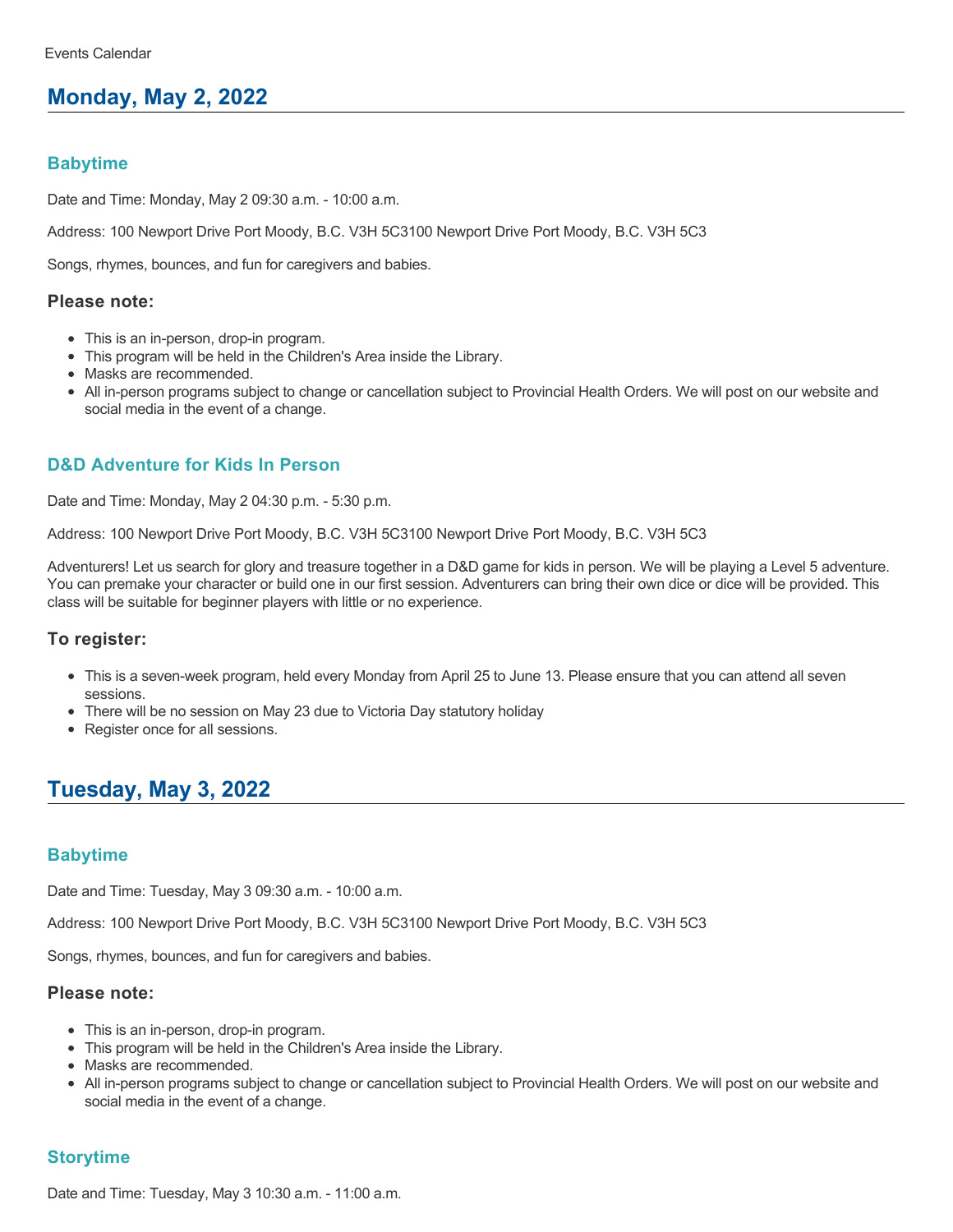# **Monday, May 2, 2022**

# **Babytime**

Date and Time: Monday, May 2 09:30 a.m. - 10:00 a.m.

Address: 100 Newport Drive Port Moody, B.C. V3H 5C3100 Newport Drive Port Moody, B.C. V3H 5C3

Songs, rhymes, bounces, and fun for caregivers and babies.

#### **Please note:**

- This is an in-person, drop-in program.
- This program will be held in the Children's Area inside the Library.
- Masks are recommended.
- All in-person programs subject to change or cancellation subject to Provincial Health Orders. We will post on our website and social media in the event of a change.

# **D&D Adventure for Kids In Person**

Date and Time: Monday, May 2 04:30 p.m. - 5:30 p.m.

Address: 100 Newport Drive Port Moody, B.C. V3H 5C3100 Newport Drive Port Moody, B.C. V3H 5C3

Adventurers! Let us search for glory and treasure together in a D&D game for kids in person. We will be playing a Level 5 adventure. You can premake your character or build one in our first session. Adventurers can bring their own dice or dice will be provided. This class will be suitable for beginner players with little or no experience.

### **To register:**

- This is a seven-week program, held every Monday from April 25 to June 13. Please ensure that you can attend all seven sessions.
- There will be no session on May 23 due to Victoria Day statutory holiday
- Register once for all sessions.

# **Tuesday, May 3, 2022**

### **Babytime**

Date and Time: Tuesday, May 3 09:30 a.m. - 10:00 a.m.

Address: 100 Newport Drive Port Moody, B.C. V3H 5C3100 Newport Drive Port Moody, B.C. V3H 5C3

Songs, rhymes, bounces, and fun for caregivers and babies.

# **Please note:**

- This is an in-person, drop-in program.
- This program will be held in the Children's Area inside the Library.
- Masks are recommended.
- All in-person programs subject to change or cancellation subject to Provincial Health Orders. We will post on our website and social media in the event of a change.

# **Storytime**

Date and Time: Tuesday, May 3 10:30 a.m. - 11:00 a.m.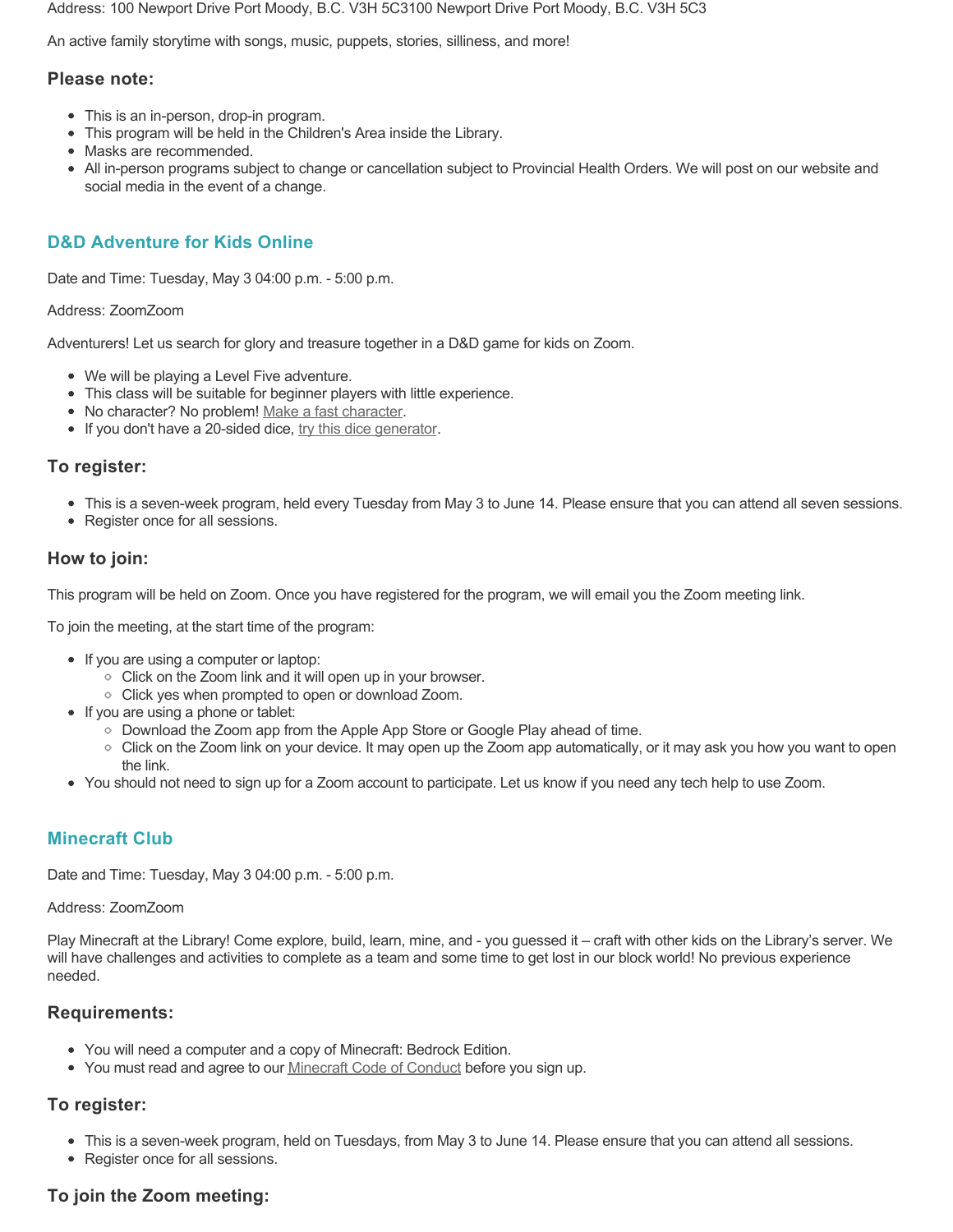Address: 100 Newport Drive Port Moody, B.C. V3H 5C3100 Newport Drive Port Moody, B.C. V3H 5C3

An active family storytime with songs, music, puppets, stories, silliness, and more!

#### **Please note:**

- This is an in-person, drop-in program.
- This program will be held in the Children's Area inside the Library.
- Masks are recommended.
- All in-person programs subject to change or cancellation subject to Provincial Health Orders. We will post on our website and social media in the event of a change.

# **D&D Adventure for Kids Online**

Date and Time: Tuesday, May 3 04:00 p.m. - 5:00 p.m.

#### Address: ZoomZoom

Adventurers! Let us search for glory and treasure together in a D&D game for kids on Zoom.

- We will be playing a Level Five adventure.
- This class will be suitable for beginner players with little experience.
- No character? No problem! [Make a fast character.](https://fastcharacter.com/)
- If you don't have a 20-sided dice, [try this dice generator.](https://www.wizards.com/dnd/dice/dice.htm)

#### **To register:**

- This is a seven-week program, held every Tuesday from May 3 to June 14. Please ensure that you can attend all seven sessions.
- Register once for all sessions.

### **How to join:**

This program will be held on Zoom. Once you have registered for the program, we will email you the Zoom meeting link.

To join the meeting, at the start time of the program:

- If you are using a computer or laptop:
	- Click on the Zoom link and it will open up in your browser.
	- Click yes when prompted to open or download Zoom.
- If you are using a phone or tablet:
	- Download the Zoom app from the Apple App Store or Google Play ahead of time.
	- Click on the Zoom link on your device. It may open up the Zoom app automatically, or it may ask you how you want to open the link.
- You should not need to sign up for a Zoom account to participate. Let us know if you need any tech help to use Zoom.

# **Minecraft Club**

Date and Time: Tuesday, May 3 04:00 p.m. - 5:00 p.m.

#### Address: ZoomZoom

Play Minecraft at the Library! Come explore, build, learn, mine, and - you guessed it – craft with other kids on the Library's server. We will have challenges and activities to complete as a team and some time to get lost in our block world! No previous experience needed.

### **Requirements:**

- You will need a computer and a copy of Minecraft: Bedrock Edition.
- You must read and agree to our [Minecraft Code of Conduct](https://www.portmoodylibrary.ca/en/services/edocs.ashx?docnumber=577372) before you sign up.

# **To register:**

- This is a seven-week program, held on Tuesdays, from May 3 to June 14. Please ensure that you can attend all sessions.
- Register once for all sessions.

# **To join the Zoom meeting:**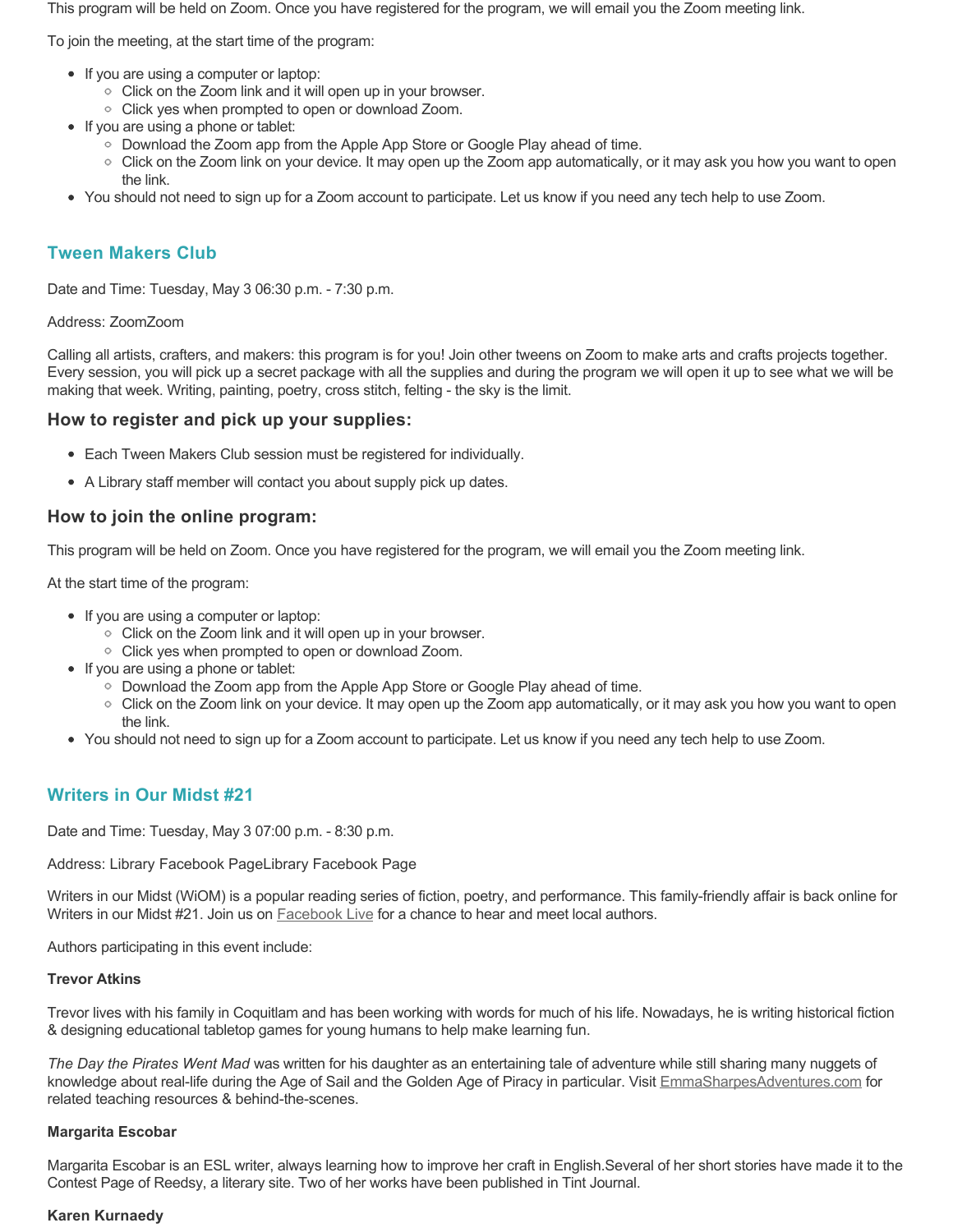This program will be held on Zoom. Once you have registered for the program, we will email you the Zoom meeting link.

To join the meeting, at the start time of the program:

- If you are using a computer or laptop:
	- Click on the Zoom link and it will open up in your browser.
	- Click yes when prompted to open or download Zoom.
- If you are using a phone or tablet:
	- Download the Zoom app from the Apple App Store or Google Play ahead of time.
	- Click on the Zoom link on your device. It may open up the Zoom app automatically, or it may ask you how you want to open the link.
- You should not need to sign up for a Zoom account to participate. Let us know if you need any tech help to use Zoom.

# **Tween Makers Club**

Date and Time: Tuesday, May 3 06:30 p.m. - 7:30 p.m.

# Address: ZoomZoom

Calling all artists, crafters, and makers: this program is for you! Join other tweens on Zoom to make arts and crafts projects together. Every session, you will pick up a secret package with all the supplies and during the program we will open it up to see what we will be making that week. Writing, painting, poetry, cross stitch, felting - the sky is the limit.

# **How to register and pick up your supplies:**

- Each Tween Makers Club session must be registered for individually.
- A Library staff member will contact you about supply pick up dates.

# **How to join the online program:**

This program will be held on Zoom. Once you have registered for the program, we will email you the Zoom meeting link.

At the start time of the program:

- If you are using a computer or laptop:
	- Click on the Zoom link and it will open up in your browser.
	- Click yes when prompted to open or download Zoom.
- If you are using a phone or tablet:
	- Download the Zoom app from the Apple App Store or Google Play ahead of time.
	- Click on the Zoom link on your device. It may open up the Zoom app automatically, or it may ask you how you want to open the link.
- You should not need to sign up for a Zoom account to participate. Let us know if you need any tech help to use Zoom.

# **Writers in Our Midst #21**

Date and Time: Tuesday, May 3 07:00 p.m. - 8:30 p.m.

Address: Library Facebook PageLibrary Facebook Page

Writers in our Midst (WiOM) is a popular reading series of fiction, poetry, and performance. This family-friendly affair is back online for Writers in our Midst #21. Join us on **Facebook Live for a chance to hear and meet local authors**.

Authors participating in this event include:

# **Trevor Atkins**

Trevor lives with his family in Coquitlam and has been working with words for much of his life. Nowadays, he is writing historical fiction & designing educational tabletop games for young humans to help make learning fun.

*The Day the Pirates Went Mad* was written for his daughter as an entertaining tale of adventure while still sharing many nuggets of knowledge about real-life during the Age of Sail and the Golden Age of Piracy in particular. Visit [EmmaSharpesAdventures.com](https://emmasharpesadventures.com/) for related teaching resources & behind-the-scenes.

# **Margarita Escobar**

Margarita Escobar is an ESL writer, always learning how to improve her craft in English.Several of her short stories have made it to the Contest Page of Reedsy, a literary site. Two of her works have been published in Tint Journal.

# **Karen Kurnaedy**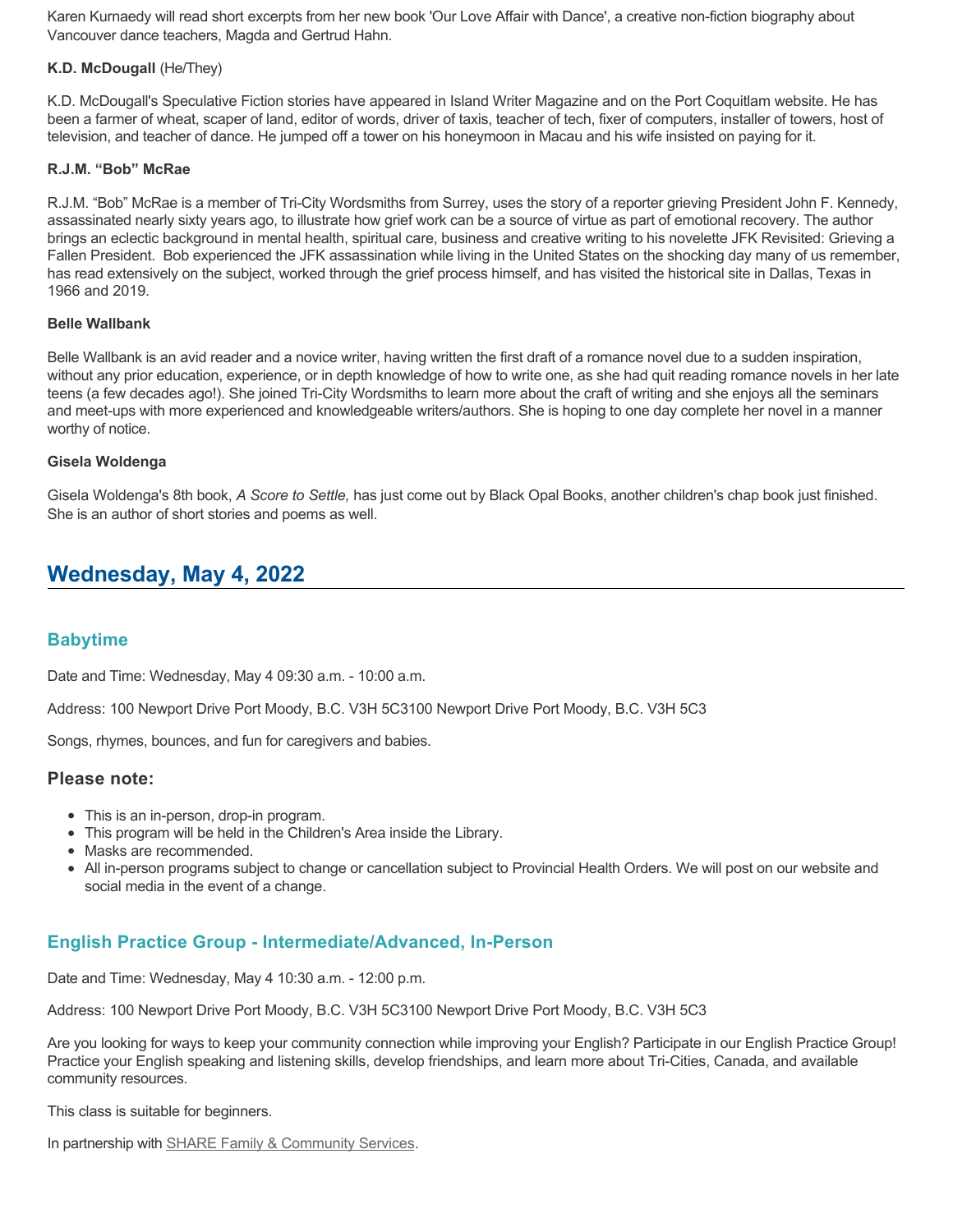Karen Kurnaedy will read short excerpts from her new book 'Our Love Affair with Dance', a creative non-fiction biography about Vancouver dance teachers, Magda and Gertrud Hahn.

#### **K.D. McDougall** (He/They)

K.D. McDougall's Speculative Fiction stories have appeared in Island Writer Magazine and on the Port Coquitlam website. He has been a farmer of wheat, scaper of land, editor of words, driver of taxis, teacher of tech, fixer of computers, installer of towers, host of television, and teacher of dance. He jumped off a tower on his honeymoon in Macau and his wife insisted on paying for it.

#### **R.J.M. "Bob" McRae**

R.J.M. "Bob" McRae is a member of Tri-City Wordsmiths from Surrey, uses the story of a reporter grieving President John F. Kennedy, assassinated nearly sixty years ago, to illustrate how grief work can be a source of virtue as part of emotional recovery. The author brings an eclectic background in mental health, spiritual care, business and creative writing to his novelette JFK Revisited: Grieving a Fallen President. Bob experienced the JFK assassination while living in the United States on the shocking day many of us remember, has read extensively on the subject, worked through the grief process himself, and has visited the historical site in Dallas, Texas in 1966 and 2019.

#### **Belle Wallbank**

Belle Wallbank is an avid reader and a novice writer, having written the first draft of a romance novel due to a sudden inspiration, without any prior education, experience, or in depth knowledge of how to write one, as she had quit reading romance novels in her late teens (a few decades ago!). She joined Tri-City Wordsmiths to learn more about the craft of writing and she enjoys all the seminars and meet-ups with more experienced and knowledgeable writers/authors. She is hoping to one day complete her novel in a manner worthy of notice.

#### **Gisela Woldenga**

Gisela Woldenga's 8th book, *A Score to Settle,* has just come out by Black Opal Books, another children's chap book just finished. She is an author of short stories and poems as well.

# **Wednesday, May 4, 2022**

### **Babytime**

Date and Time: Wednesday, May 4 09:30 a.m. - 10:00 a.m.

Address: 100 Newport Drive Port Moody, B.C. V3H 5C3100 Newport Drive Port Moody, B.C. V3H 5C3

Songs, rhymes, bounces, and fun for caregivers and babies.

#### **Please note:**

- This is an in-person, drop-in program.
- This program will be held in the Children's Area inside the Library.
- Masks are recommended.
- All in-person programs subject to change or cancellation subject to Provincial Health Orders. We will post on our website and social media in the event of a change.

# **English Practice Group - Intermediate/Advanced, In-Person**

Date and Time: Wednesday, May 4 10:30 a.m. - 12:00 p.m.

Address: 100 Newport Drive Port Moody, B.C. V3H 5C3100 Newport Drive Port Moody, B.C. V3H 5C3

Are you looking for ways to keep your community connection while improving your English? Participate in our English Practice Group! Practice your English speaking and listening skills, develop friendships, and learn more about Tri-Cities, Canada, and available community resources.

This class is suitable for beginners.

In partnership with **SHARE Family & Community Services**.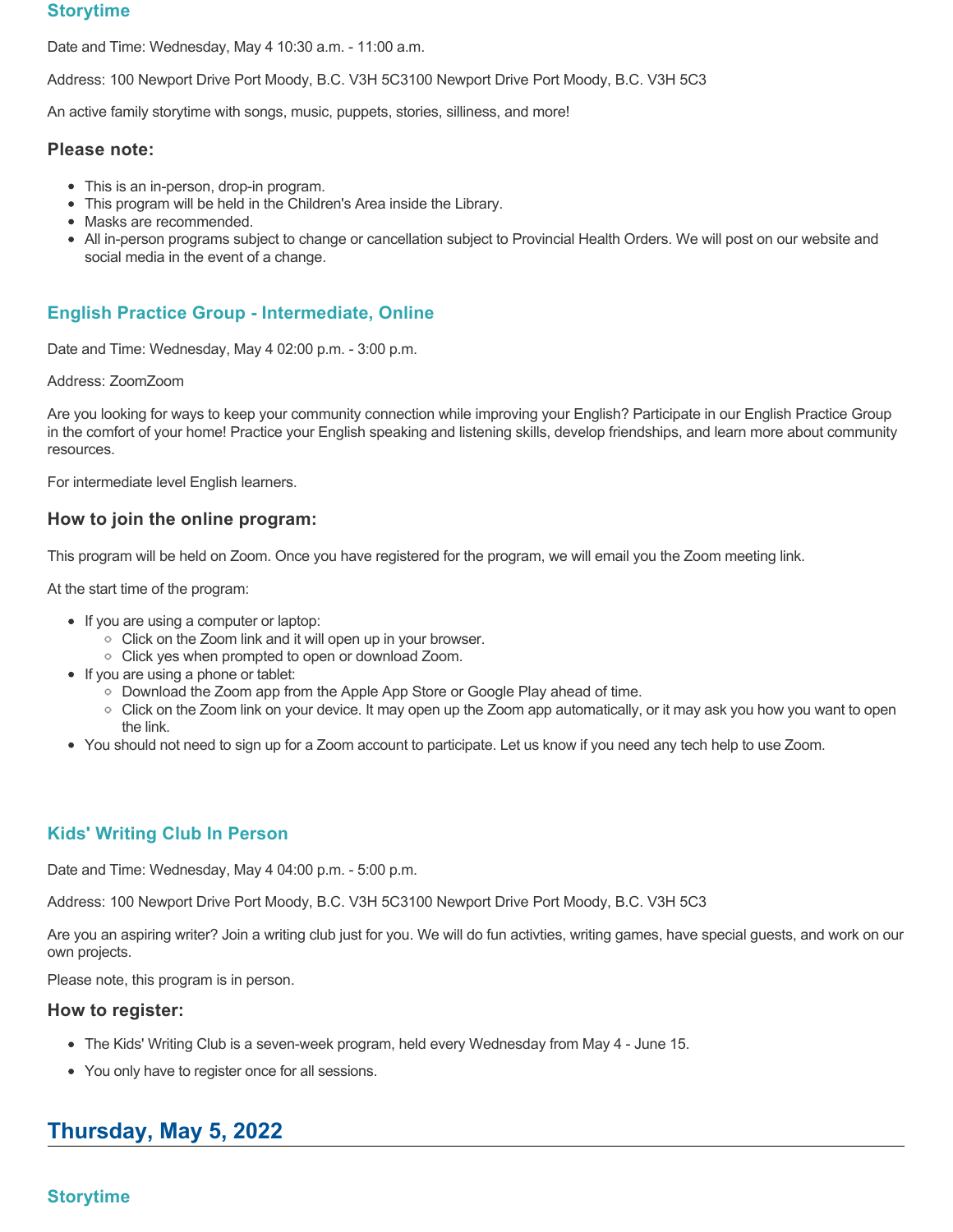# **Storytime**

Date and Time: Wednesday, May 4 10:30 a.m. - 11:00 a.m.

Address: 100 Newport Drive Port Moody, B.C. V3H 5C3100 Newport Drive Port Moody, B.C. V3H 5C3

An active family storytime with songs, music, puppets, stories, silliness, and more!

### **Please note:**

- This is an in-person, drop-in program.
- This program will be held in the Children's Area inside the Library.
- Masks are recommended.
- All in-person programs subject to change or cancellation subject to Provincial Health Orders. We will post on our website and social media in the event of a change.

# **English Practice Group - Intermediate, Online**

Date and Time: Wednesday, May 4 02:00 p.m. - 3:00 p.m.

#### Address: ZoomZoom

Are you looking for ways to keep your community connection while improving your English? Participate in our English Practice Group in the comfort of your home! Practice your English speaking and listening skills, develop friendships, and learn more about community resources.

For intermediate level English learners.

## **How to join the online program:**

This program will be held on Zoom. Once you have registered for the program, we will email you the Zoom meeting link.

At the start time of the program:

- If you are using a computer or laptop:
	- Click on the Zoom link and it will open up in your browser.
	- $\circ$  Click yes when prompted to open or download Zoom.
- If you are using a phone or tablet:
	- Download the Zoom app from the Apple App Store or Google Play ahead of time.
	- Click on the Zoom link on your device. It may open up the Zoom app automatically, or it may ask you how you want to open the link.
- You should not need to sign up for a Zoom account to participate. Let us know if you need any tech help to use Zoom.

# **Kids' Writing Club In Person**

Date and Time: Wednesday, May 4 04:00 p.m. - 5:00 p.m.

Address: 100 Newport Drive Port Moody, B.C. V3H 5C3100 Newport Drive Port Moody, B.C. V3H 5C3

Are you an aspiring writer? Join a writing club just for you. We will do fun activties, writing games, have special guests, and work on our own projects.

Please note, this program is in person.

#### **How to register:**

- The Kids' Writing Club is a seven-week program, held every Wednesday from May 4 June 15.
- You only have to register once for all sessions.

# **Thursday, May 5, 2022**

# **Storytime**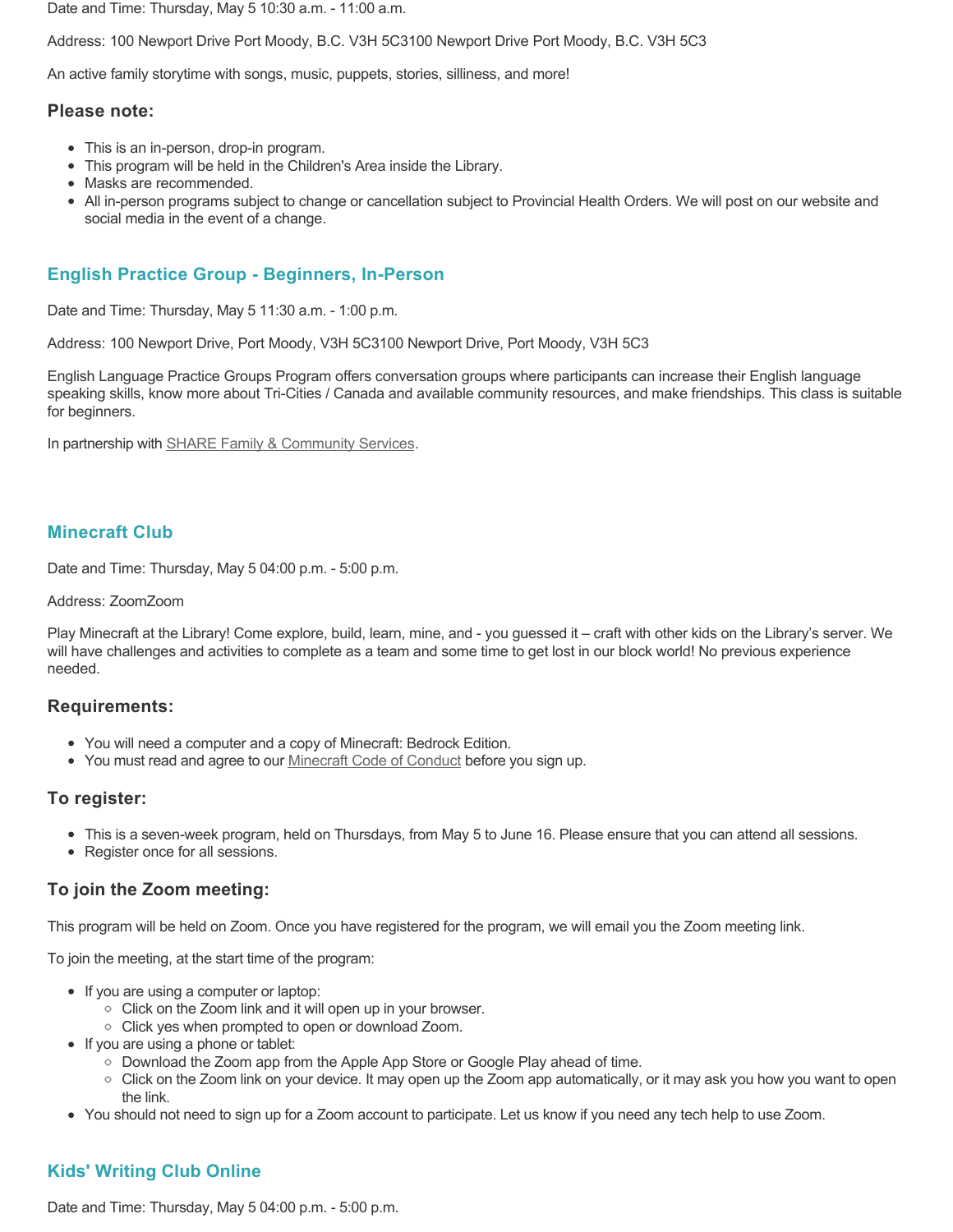Date and Time: Thursday, May 5 10:30 a.m. - 11:00 a.m.

Address: 100 Newport Drive Port Moody, B.C. V3H 5C3100 Newport Drive Port Moody, B.C. V3H 5C3

An active family storytime with songs, music, puppets, stories, silliness, and more!

#### **Please note:**

- This is an in-person, drop-in program.
- This program will be held in the Children's Area inside the Library.
- Masks are recommended.
- All in-person programs subject to change or cancellation subject to Provincial Health Orders. We will post on our website and social media in the event of a change.

# **English Practice Group - Beginners, In-Person**

Date and Time: Thursday, May 5 11:30 a.m. - 1:00 p.m.

Address: 100 Newport Drive, Port Moody, V3H 5C3100 Newport Drive, Port Moody, V3H 5C3

English Language Practice Groups Program offers conversation groups where participants can increase their English language speaking skills, know more about Tri-Cities / Canada and available community resources, and make friendships. This class is suitable for beginners.

In partnership with **SHARE Family & Community Services**.

# **Minecraft Club**

Date and Time: Thursday, May 5 04:00 p.m. - 5:00 p.m.

#### Address: ZoomZoom

Play Minecraft at the Library! Come explore, build, learn, mine, and - you guessed it – craft with other kids on the Library's server. We will have challenges and activities to complete as a team and some time to get lost in our block world! No previous experience needed.

### **Requirements:**

- You will need a computer and a copy of Minecraft: Bedrock Edition.
- You must read and agree to our [Minecraft Code of Conduct](https://www.portmoodylibrary.ca/en/services/edocs.ashx?docnumber=577372) before you sign up.

#### **To register:**

- This is a seven-week program, held on Thursdays, from May 5 to June 16. Please ensure that you can attend all sessions.
- Register once for all sessions.

# **To join the Zoom meeting:**

This program will be held on Zoom. Once you have registered for the program, we will email you the Zoom meeting link.

To join the meeting, at the start time of the program:

- If you are using a computer or laptop:
	- Click on the Zoom link and it will open up in your browser.
	- Click yes when prompted to open or download Zoom.
- If you are using a phone or tablet:
	- Download the Zoom app from the Apple App Store or Google Play ahead of time.
	- Click on the Zoom link on your device. It may open up the Zoom app automatically, or it may ask you how you want to open the link.
- You should not need to sign up for a Zoom account to participate. Let us know if you need any tech help to use Zoom.

# **Kids' Writing Club Online**

Date and Time: Thursday, May 5 04:00 p.m. - 5:00 p.m.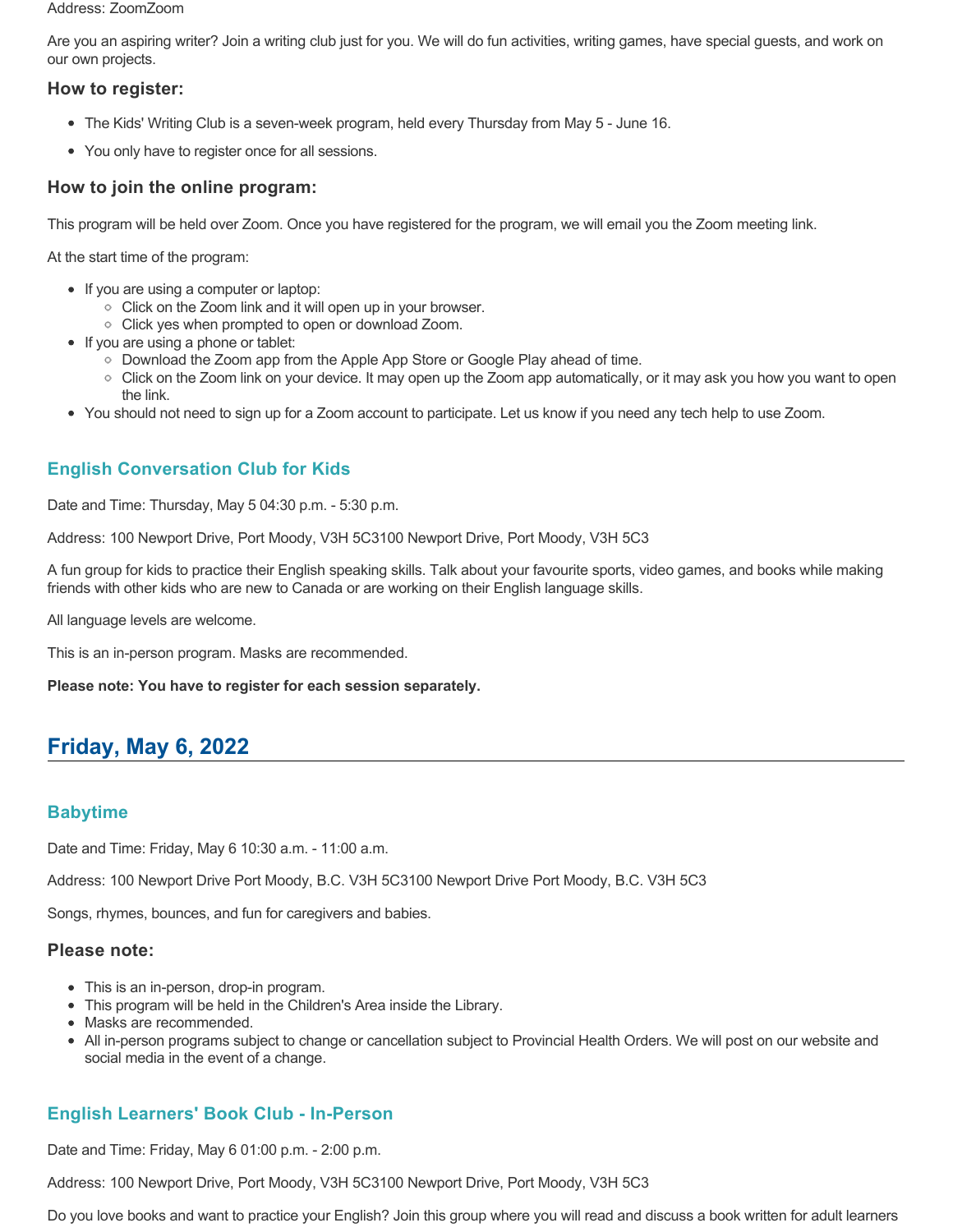#### Address: ZoomZoom

Are you an aspiring writer? Join a writing club just for you. We will do fun activities, writing games, have special guests, and work on our own projects.

## **How to register:**

- The Kids' Writing Club is a seven-week program, held every Thursday from May 5 June 16.
- You only have to register once for all sessions.

## **How to join the online program:**

This program will be held over Zoom. Once you have registered for the program, we will email you the Zoom meeting link.

At the start time of the program:

- If you are using a computer or laptop:
	- Click on the Zoom link and it will open up in your browser.
	- Click yes when prompted to open or download Zoom.
- If you are using a phone or tablet:
	- Download the Zoom app from the Apple App Store or Google Play ahead of time.
	- Click on the Zoom link on your device. It may open up the Zoom app automatically, or it may ask you how you want to open the link.
- You should not need to sign up for a Zoom account to participate. Let us know if you need any tech help to use Zoom.

# **English Conversation Club for Kids**

Date and Time: Thursday, May 5 04:30 p.m. - 5:30 p.m.

Address: 100 Newport Drive, Port Moody, V3H 5C3100 Newport Drive, Port Moody, V3H 5C3

A fun group for kids to practice their English speaking skills. Talk about your favourite sports, video games, and books while making friends with other kids who are new to Canada or are working on their English language skills.

All language levels are welcome.

This is an in-person program. Masks are recommended.

**Please note: You have to register for each session separately.**

# **Friday, May 6, 2022**

# **Babytime**

Date and Time: Friday, May 6 10:30 a.m. - 11:00 a.m.

Address: 100 Newport Drive Port Moody, B.C. V3H 5C3100 Newport Drive Port Moody, B.C. V3H 5C3

Songs, rhymes, bounces, and fun for caregivers and babies.

#### **Please note:**

- This is an in-person, drop-in program.
- This program will be held in the Children's Area inside the Library.
- Masks are recommended.
- All in-person programs subject to change or cancellation subject to Provincial Health Orders. We will post on our website and social media in the event of a change.

# **English Learners' Book Club - In-Person**

Date and Time: Friday, May 6 01:00 p.m. - 2:00 p.m.

Address: 100 Newport Drive, Port Moody, V3H 5C3100 Newport Drive, Port Moody, V3H 5C3

Do you love books and want to practice your English? Join this group where you will read and discuss a book written for adult learners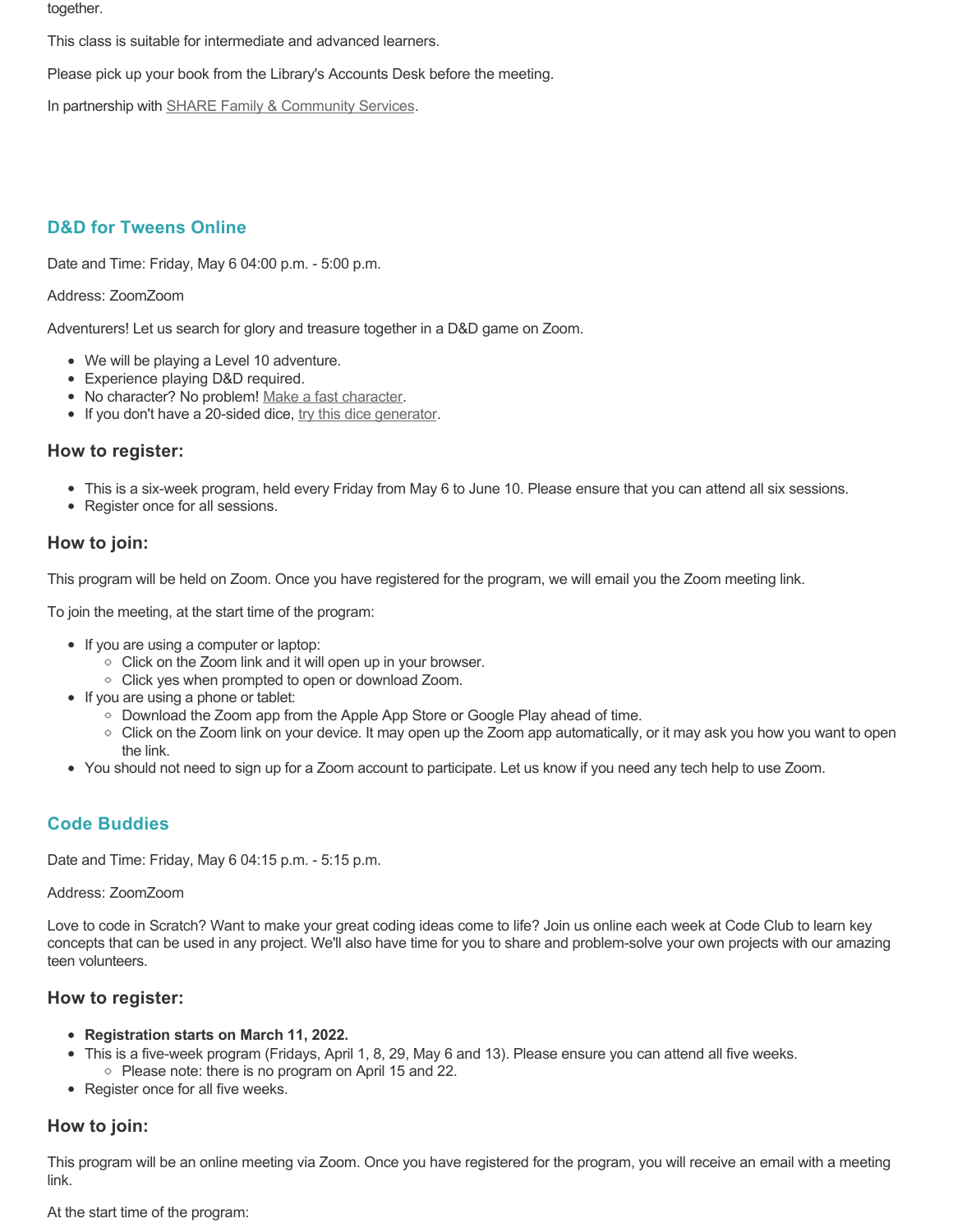together.

This class is suitable for intermediate and advanced learners.

Please pick up your book from the Library's Accounts Desk before the meeting.

In partnership with **SHARE Family & Community Services**.

# **D&D for Tweens Online**

Date and Time: Friday, May 6 04:00 p.m. - 5:00 p.m.

#### Address: ZoomZoom

Adventurers! Let us search for glory and treasure together in a D&D game on Zoom.

- We will be playing a Level 10 adventure.
- Experience playing D&D required.
- No character? No problem! [Make a fast character.](https://fastcharacter.com/)
- If you don't have a 20-sided dice, [try this dice generator.](https://www.wizards.com/dnd/dice/dice.htm)

### **How to register:**

- This is a six-week program, held every Friday from May 6 to June 10. Please ensure that you can attend all six sessions.
- Register once for all sessions.

## **How to join:**

This program will be held on Zoom. Once you have registered for the program, we will email you the Zoom meeting link.

To join the meeting, at the start time of the program:

- If you are using a computer or laptop:
	- Click on the Zoom link and it will open up in your browser.
	- Click yes when prompted to open or download Zoom.
- If you are using a phone or tablet:
	- Download the Zoom app from the Apple App Store or Google Play ahead of time.
	- Click on the Zoom link on your device. It may open up the Zoom app automatically, or it may ask you how you want to open the link.
- You should not need to sign up for a Zoom account to participate. Let us know if you need any tech help to use Zoom.

# **Code Buddies**

Date and Time: Friday, May 6 04:15 p.m. - 5:15 p.m.

#### Address: ZoomZoom

Love to code in Scratch? Want to make your great coding ideas come to life? Join us online each week at Code Club to learn key concepts that can be used in any project. We'll also have time for you to share and problem-solve your own projects with our amazing teen volunteers.

### **How to register:**

- **Registration starts on March 11, 2022.**
- This is a five-week program (Fridays, April 1, 8, 29, May 6 and 13). Please ensure you can attend all five weeks. • Please note: there is no program on April 15 and 22.
- Register once for all five weeks.

# **How to join:**

This program will be an online meeting via Zoom. Once you have registered for the program, you will receive an email with a meeting link.

At the start time of the program: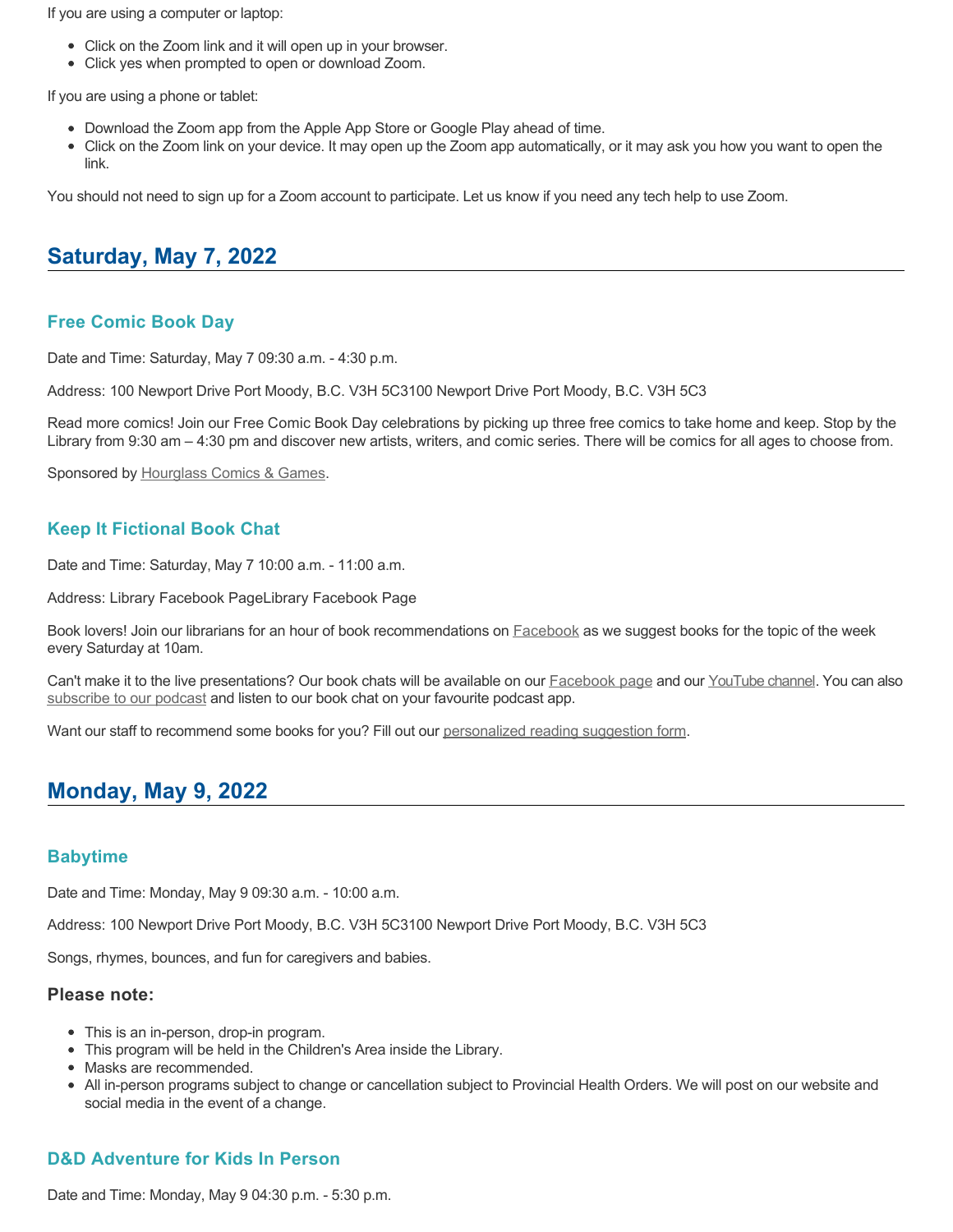If you are using a computer or laptop:

- Click on the Zoom link and it will open up in your browser.
- Click yes when prompted to open or download Zoom.

If you are using a phone or tablet:

- Download the Zoom app from the Apple App Store or Google Play ahead of time.
- Click on the Zoom link on your device. It may open up the Zoom app automatically, or it may ask you how you want to open the link.

You should not need to sign up for a Zoom account to participate. Let us know if you need any tech help to use Zoom.

# **Saturday, May 7, 2022**

## **Free Comic Book Day**

Date and Time: Saturday, May 7 09:30 a.m. - 4:30 p.m.

Address: 100 Newport Drive Port Moody, B.C. V3H 5C3100 Newport Drive Port Moody, B.C. V3H 5C3

Read more comics! Join our Free Comic Book Day celebrations by picking up three free comics to take home and keep. Stop by the Library from 9:30 am – 4:30 pm and discover new artists, writers, and comic series. There will be comics for all ages to choose from.

Sponsored by [Hourglass Comics & Games](http://www.hourglasscomics.ca/).

## **Keep It Fictional Book Chat**

Date and Time: Saturday, May 7 10:00 a.m. - 11:00 a.m.

Address: Library Facebook PageLibrary Facebook Page

Book lovers! Join our librarians for an hour of book recommendations on **[Facebook](https://www.facebook.com/pomolibrary)** as we suggest books for the topic of the week every Saturday at 10am.

Can't make it to the live presentations? Our book chats will be available on our [Facebook page](https://www.facebook.com/pomolibrary/) and our [YouTube channel](https://www.youtube.com/channel/UC2I_AE1E_BpN8xBXwyzhiYg?view_as=subscriber). You can also [subscribe to our podcast](https://anchor.fm/keepitfictional) and listen to our book chat on your favourite podcast app.

Want our staff to recommend some books for you? Fill out our [personalized reading suggestion form](https://www.portmoodylibrary.ca/en/borrow/reading-suggestions.aspx).

# **Monday, May 9, 2022**

### **Babytime**

Date and Time: Monday, May 9 09:30 a.m. - 10:00 a.m.

Address: 100 Newport Drive Port Moody, B.C. V3H 5C3100 Newport Drive Port Moody, B.C. V3H 5C3

Songs, rhymes, bounces, and fun for caregivers and babies.

#### **Please note:**

- This is an in-person, drop-in program.
- This program will be held in the Children's Area inside the Library.
- Masks are recommended.
- All in-person programs subject to change or cancellation subject to Provincial Health Orders. We will post on our website and social media in the event of a change.

### **D&D Adventure for Kids In Person**

Date and Time: Monday, May 9 04:30 p.m. - 5:30 p.m.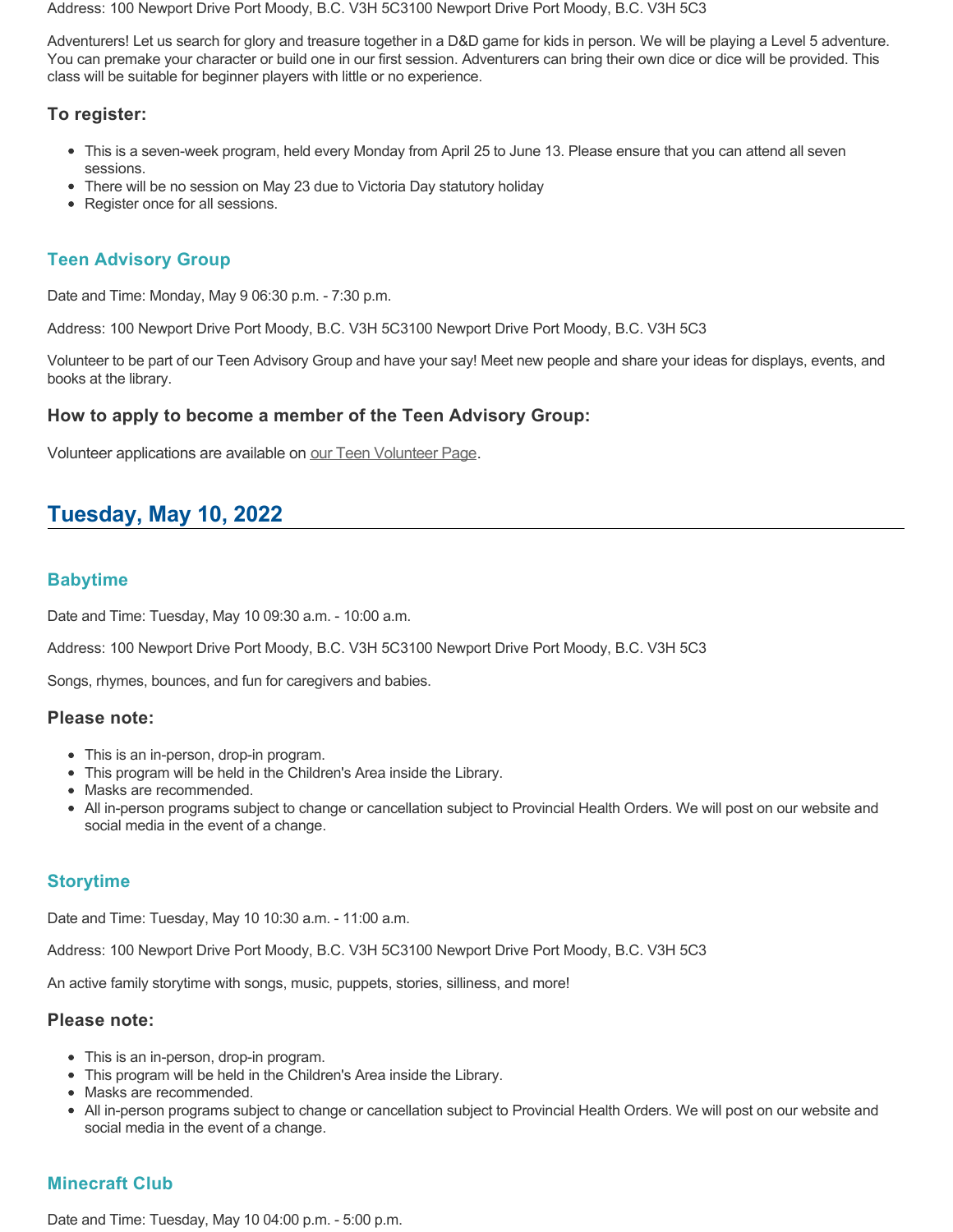Address: 100 Newport Drive Port Moody, B.C. V3H 5C3100 Newport Drive Port Moody, B.C. V3H 5C3

Adventurers! Let us search for glory and treasure together in a D&D game for kids in person. We will be playing a Level 5 adventure. You can premake your character or build one in our first session. Adventurers can bring their own dice or dice will be provided. This class will be suitable for beginner players with little or no experience.

## **To register:**

- This is a seven-week program, held every Monday from April 25 to June 13. Please ensure that you can attend all seven sessions.
- There will be no session on May 23 due to Victoria Day statutory holiday
- Register once for all sessions.

# **Teen Advisory Group**

Date and Time: Monday, May 9 06:30 p.m. - 7:30 p.m.

Address: 100 Newport Drive Port Moody, B.C. V3H 5C3100 Newport Drive Port Moody, B.C. V3H 5C3

Volunteer to be part of our Teen Advisory Group and have your say! Meet new people and share your ideas for displays, events, and books at the library.

### **How to apply to become a member of the Teen Advisory Group:**

Volunteer applications are available on [our Teen Volunteer Page.](https://www.portmoodylibrary.ca/en/programs-and-events/teen-volunteer-programs.aspx)

# **Tuesday, May 10, 2022**

# **Babytime**

Date and Time: Tuesday, May 10 09:30 a.m. - 10:00 a.m.

Address: 100 Newport Drive Port Moody, B.C. V3H 5C3100 Newport Drive Port Moody, B.C. V3H 5C3

Songs, rhymes, bounces, and fun for caregivers and babies.

#### **Please note:**

- This is an in-person, drop-in program.
- This program will be held in the Children's Area inside the Library.
- Masks are recommended.
- All in-person programs subject to change or cancellation subject to Provincial Health Orders. We will post on our website and social media in the event of a change.

# **Storytime**

Date and Time: Tuesday, May 10 10:30 a.m. - 11:00 a.m.

Address: 100 Newport Drive Port Moody, B.C. V3H 5C3100 Newport Drive Port Moody, B.C. V3H 5C3

An active family storytime with songs, music, puppets, stories, silliness, and more!

#### **Please note:**

- This is an in-person, drop-in program.
- This program will be held in the Children's Area inside the Library.
- Masks are recommended.
- All in-person programs subject to change or cancellation subject to Provincial Health Orders. We will post on our website and social media in the event of a change.

# **Minecraft Club**

Date and Time: Tuesday, May 10 04:00 p.m. - 5:00 p.m.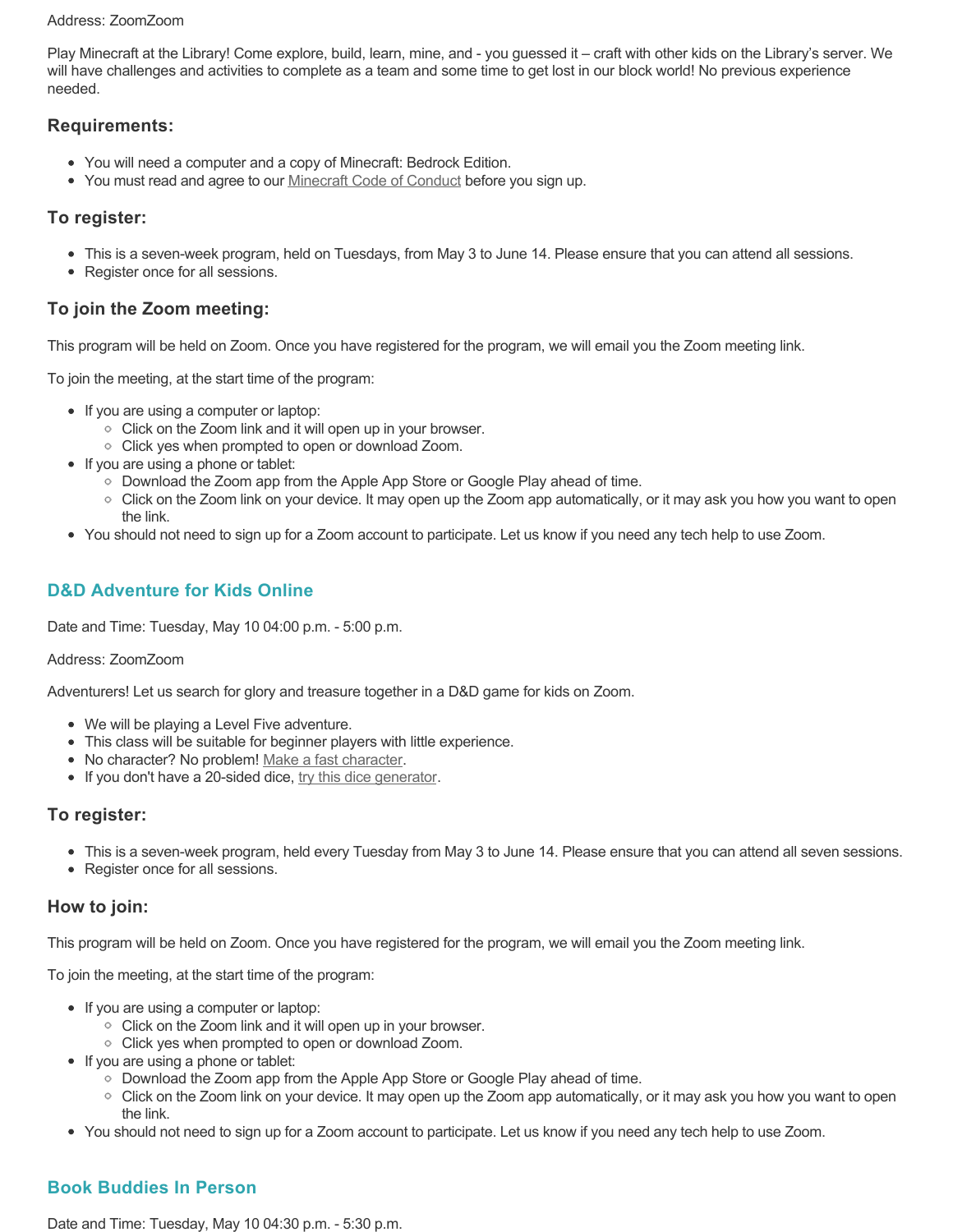#### Address: ZoomZoom

Play Minecraft at the Library! Come explore, build, learn, mine, and - you guessed it – craft with other kids on the Library's server. We will have challenges and activities to complete as a team and some time to get lost in our block world! No previous experience needed.

# **Requirements:**

- You will need a computer and a copy of Minecraft: Bedrock Edition.
- You must read and agree to our [Minecraft Code of Conduct](https://www.portmoodylibrary.ca/en/services/edocs.ashx?docnumber=577372) before you sign up.

# **To register:**

- This is a seven-week program, held on Tuesdays, from May 3 to June 14. Please ensure that you can attend all sessions.
- Register once for all sessions.

# **To join the Zoom meeting:**

This program will be held on Zoom. Once you have registered for the program, we will email you the Zoom meeting link.

To join the meeting, at the start time of the program:

- If you are using a computer or laptop:
	- Click on the Zoom link and it will open up in your browser.
	- Click yes when prompted to open or download Zoom.
- If you are using a phone or tablet:
	- Download the Zoom app from the Apple App Store or Google Play ahead of time.
	- Click on the Zoom link on your device. It may open up the Zoom app automatically, or it may ask you how you want to open the link.
- You should not need to sign up for a Zoom account to participate. Let us know if you need any tech help to use Zoom.

# **D&D Adventure for Kids Online**

Date and Time: Tuesday, May 10 04:00 p.m. - 5:00 p.m.

#### Address: ZoomZoom

Adventurers! Let us search for glory and treasure together in a D&D game for kids on Zoom.

- We will be playing a Level Five adventure.
- This class will be suitable for beginner players with little experience.
- No character? No problem! [Make a fast character.](https://fastcharacter.com/)
- If you don't have a 20-sided dice, [try this dice generator.](https://www.wizards.com/dnd/dice/dice.htm)

# **To register:**

- This is a seven-week program, held every Tuesday from May 3 to June 14. Please ensure that you can attend all seven sessions.
- Register once for all sessions.

# **How to join:**

This program will be held on Zoom. Once you have registered for the program, we will email you the Zoom meeting link.

To join the meeting, at the start time of the program:

- If you are using a computer or laptop:
	- Click on the Zoom link and it will open up in your browser.
	- Click yes when prompted to open or download Zoom.
- If you are using a phone or tablet:
	- Download the Zoom app from the Apple App Store or Google Play ahead of time.
	- Click on the Zoom link on your device. It may open up the Zoom app automatically, or it may ask you how you want to open the link.
- You should not need to sign up for a Zoom account to participate. Let us know if you need any tech help to use Zoom.

# **Book Buddies In Person**

Date and Time: Tuesday, May 10 04:30 p.m. - 5:30 p.m.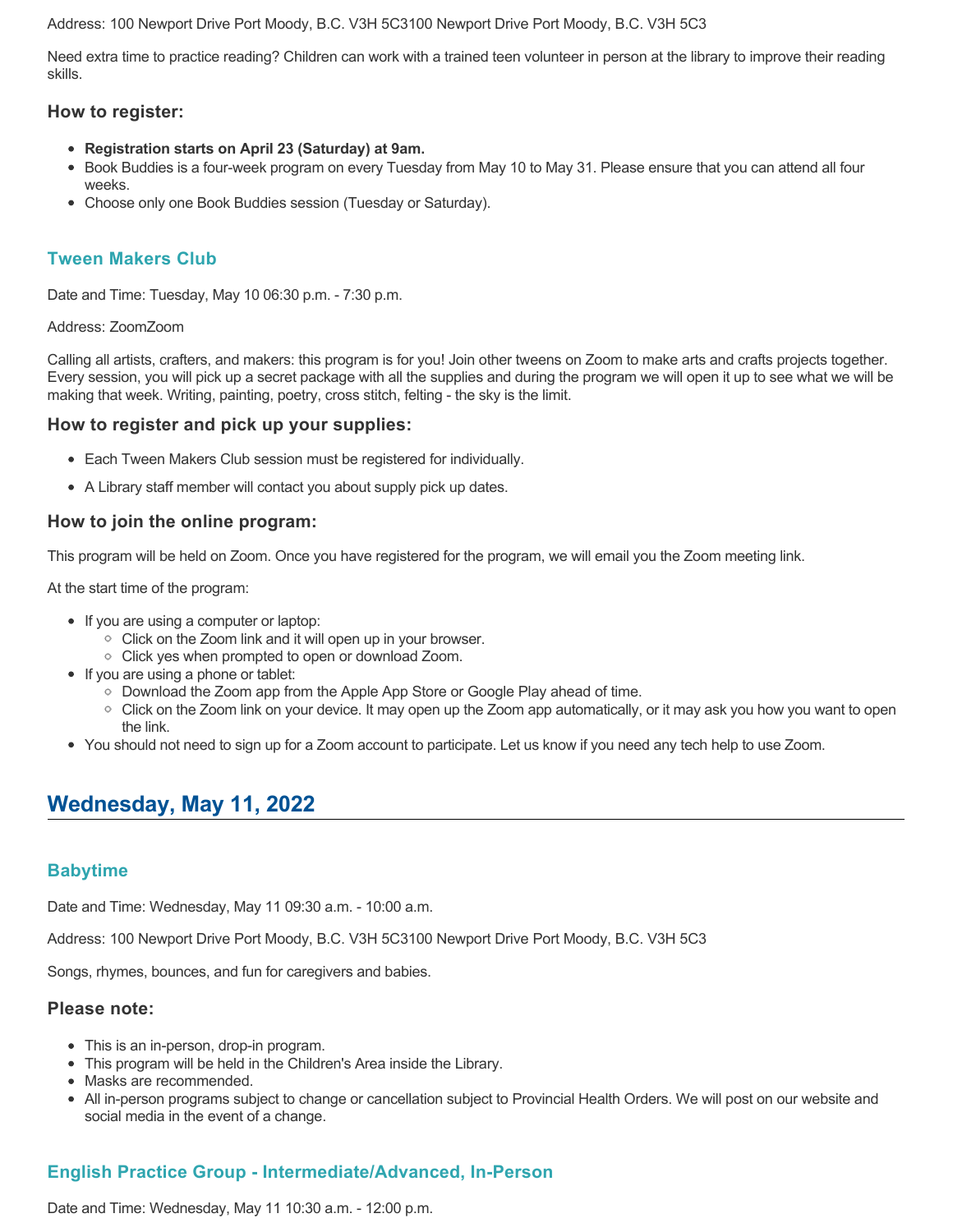Address: 100 Newport Drive Port Moody, B.C. V3H 5C3100 Newport Drive Port Moody, B.C. V3H 5C3

Need extra time to practice reading? Children can work with a trained teen volunteer in person at the library to improve their reading skills.

### **How to register:**

- **Registration starts on April 23 (Saturday) at 9am.**
- Book Buddies is a four-week program on every Tuesday from May 10 to May 31. Please ensure that you can attend all four weeks.
- Choose only one Book Buddies session (Tuesday or Saturday).

# **Tween Makers Club**

Date and Time: Tuesday, May 10 06:30 p.m. - 7:30 p.m.

#### Address: ZoomZoom

Calling all artists, crafters, and makers: this program is for you! Join other tweens on Zoom to make arts and crafts projects together. Every session, you will pick up a secret package with all the supplies and during the program we will open it up to see what we will be making that week. Writing, painting, poetry, cross stitch, felting - the sky is the limit.

### **How to register and pick up your supplies:**

- Each Tween Makers Club session must be registered for individually.
- A Library staff member will contact you about supply pick up dates.

## **How to join the online program:**

This program will be held on Zoom. Once you have registered for the program, we will email you the Zoom meeting link.

At the start time of the program:

- If you are using a computer or laptop:
	- Click on the Zoom link and it will open up in your browser.
	- Click yes when prompted to open or download Zoom.
- If you are using a phone or tablet:
	- Download the Zoom app from the Apple App Store or Google Play ahead of time.
	- Click on the Zoom link on your device. It may open up the Zoom app automatically, or it may ask you how you want to open the link.
- You should not need to sign up for a Zoom account to participate. Let us know if you need any tech help to use Zoom.

# **Wednesday, May 11, 2022**

# **Babytime**

Date and Time: Wednesday, May 11 09:30 a.m. - 10:00 a.m.

Address: 100 Newport Drive Port Moody, B.C. V3H 5C3100 Newport Drive Port Moody, B.C. V3H 5C3

Songs, rhymes, bounces, and fun for caregivers and babies.

#### **Please note:**

- This is an in-person, drop-in program.
- This program will be held in the Children's Area inside the Library.
- Masks are recommended.
- All in-person programs subject to change or cancellation subject to Provincial Health Orders. We will post on our website and social media in the event of a change.

# **English Practice Group - Intermediate/Advanced, In-Person**

Date and Time: Wednesday, May 11 10:30 a.m. - 12:00 p.m.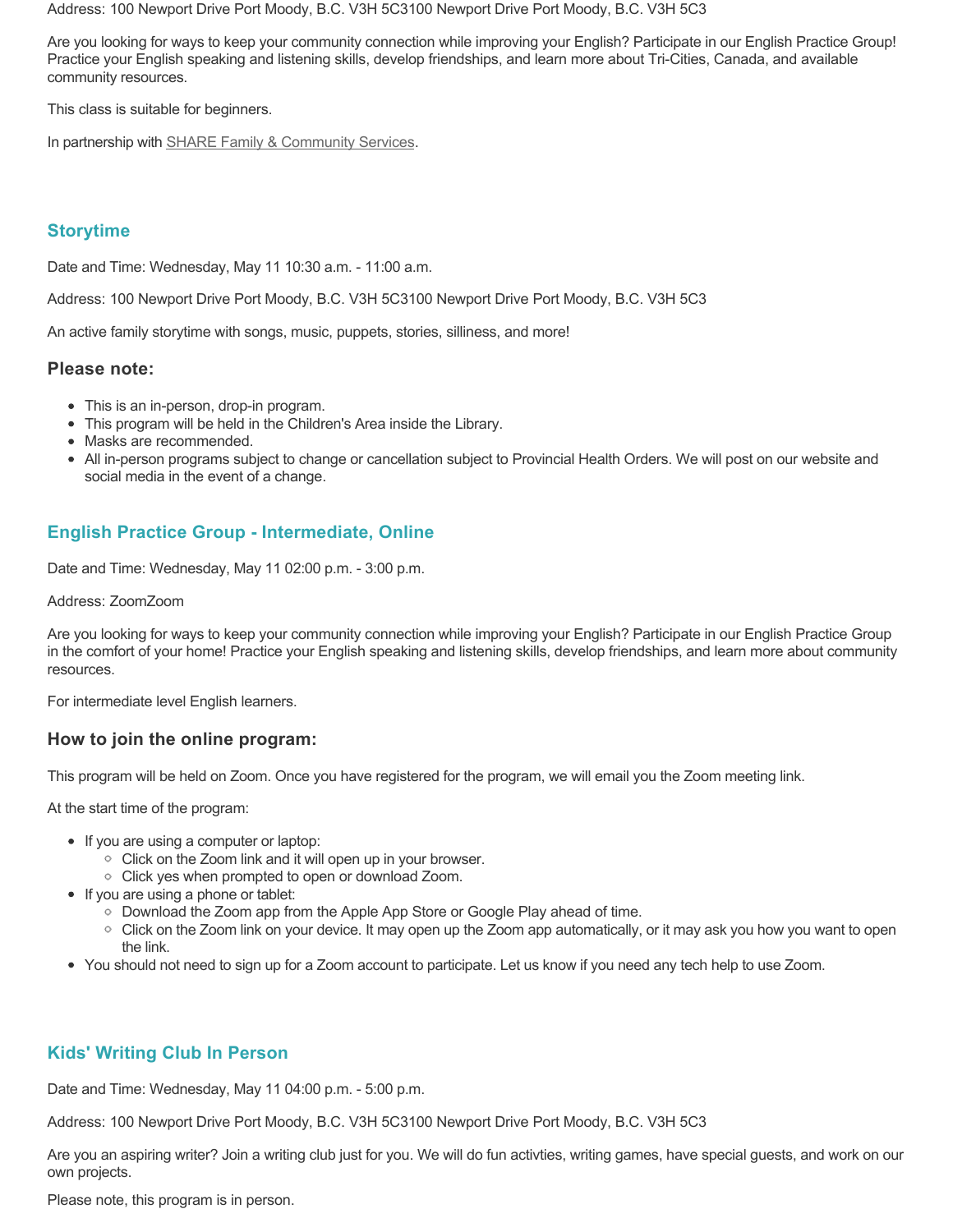Address: 100 Newport Drive Port Moody, B.C. V3H 5C3100 Newport Drive Port Moody, B.C. V3H 5C3

Are you looking for ways to keep your community connection while improving your English? Participate in our English Practice Group! Practice your English speaking and listening skills, develop friendships, and learn more about Tri-Cities, Canada, and available community resources.

This class is suitable for beginners.

In partnership with [SHARE Family & Community Services.](https://sharesociety.ca/)

# **Storytime**

Date and Time: Wednesday, May 11 10:30 a.m. - 11:00 a.m.

Address: 100 Newport Drive Port Moody, B.C. V3H 5C3100 Newport Drive Port Moody, B.C. V3H 5C3

An active family storytime with songs, music, puppets, stories, silliness, and more!

### **Please note:**

- This is an in-person, drop-in program.
- This program will be held in the Children's Area inside the Library.
- Masks are recommended.
- All in-person programs subject to change or cancellation subject to Provincial Health Orders. We will post on our website and social media in the event of a change.

# **English Practice Group - Intermediate, Online**

Date and Time: Wednesday, May 11 02:00 p.m. - 3:00 p.m.

#### Address: ZoomZoom

Are you looking for ways to keep your community connection while improving your English? Participate in our English Practice Group in the comfort of your home! Practice your English speaking and listening skills, develop friendships, and learn more about community resources.

For intermediate level English learners.

### **How to join the online program:**

This program will be held on Zoom. Once you have registered for the program, we will email you the Zoom meeting link.

At the start time of the program:

- If you are using a computer or laptop:
	- Click on the Zoom link and it will open up in your browser.
	- Click yes when prompted to open or download Zoom.
- If you are using a phone or tablet:
	- Download the Zoom app from the Apple App Store or Google Play ahead of time.
	- Click on the Zoom link on your device. It may open up the Zoom app automatically, or it may ask you how you want to open the link.
- You should not need to sign up for a Zoom account to participate. Let us know if you need any tech help to use Zoom.

# **Kids' Writing Club In Person**

Date and Time: Wednesday, May 11 04:00 p.m. - 5:00 p.m.

Address: 100 Newport Drive Port Moody, B.C. V3H 5C3100 Newport Drive Port Moody, B.C. V3H 5C3

Are you an aspiring writer? Join a writing club just for you. We will do fun activties, writing games, have special guests, and work on our own projects.

Please note, this program is in person.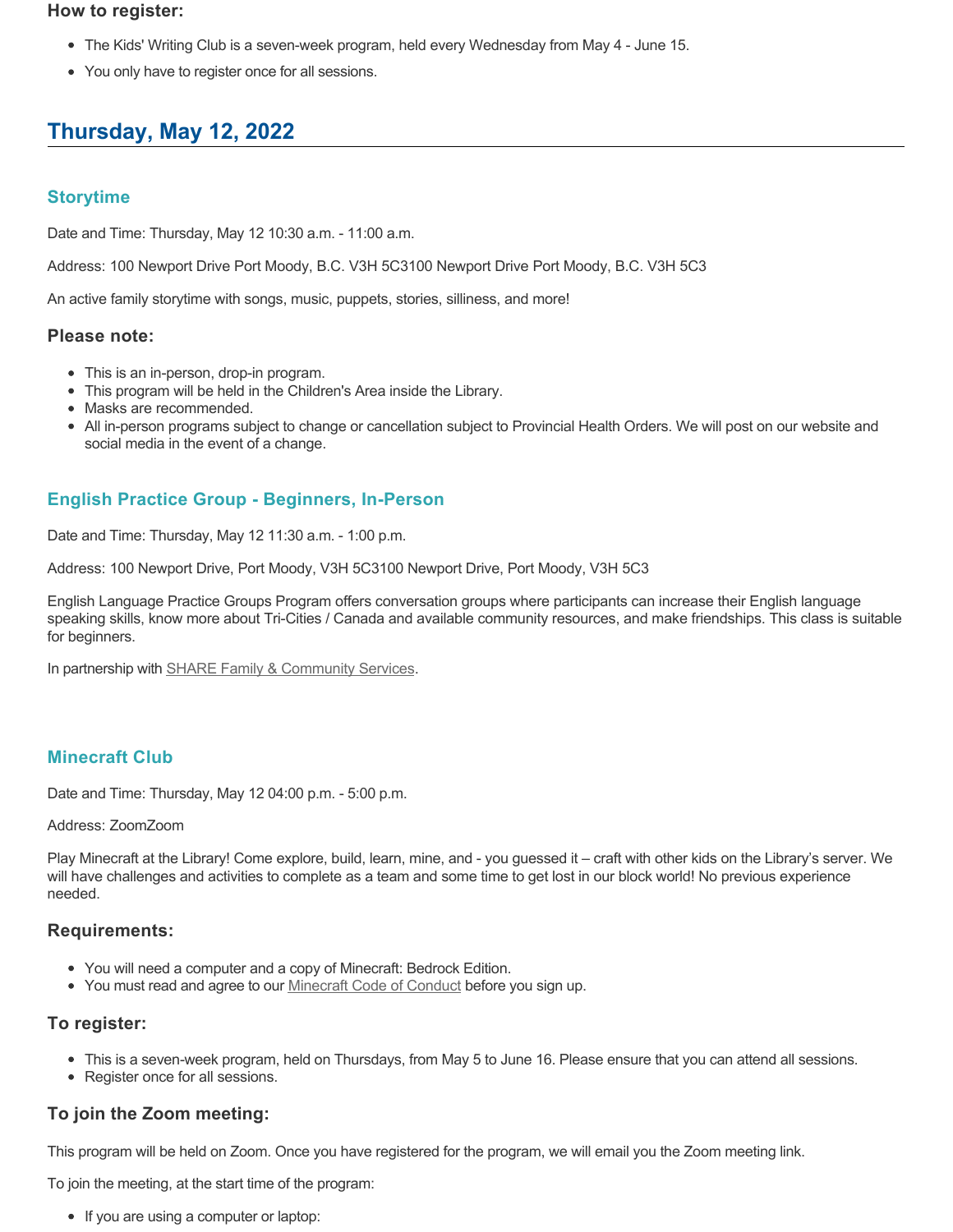#### **How to register:**

- The Kids' Writing Club is a seven-week program, held every Wednesday from May 4 June 15.
- You only have to register once for all sessions.

# **Thursday, May 12, 2022**

# **Storytime**

Date and Time: Thursday, May 12 10:30 a.m. - 11:00 a.m.

Address: 100 Newport Drive Port Moody, B.C. V3H 5C3100 Newport Drive Port Moody, B.C. V3H 5C3

An active family storytime with songs, music, puppets, stories, silliness, and more!

#### **Please note:**

- This is an in-person, drop-in program.
- This program will be held in the Children's Area inside the Library.
- Masks are recommended.
- All in-person programs subject to change or cancellation subject to Provincial Health Orders. We will post on our website and social media in the event of a change.

# **English Practice Group - Beginners, In-Person**

Date and Time: Thursday, May 12 11:30 a.m. - 1:00 p.m.

Address: 100 Newport Drive, Port Moody, V3H 5C3100 Newport Drive, Port Moody, V3H 5C3

English Language Practice Groups Program offers conversation groups where participants can increase their English language speaking skills, know more about Tri-Cities / Canada and available community resources, and make friendships. This class is suitable for beginners.

In partnership with **SHARE Family & Community Services**.

# **Minecraft Club**

Date and Time: Thursday, May 12 04:00 p.m. - 5:00 p.m.

#### Address: ZoomZoom

Play Minecraft at the Library! Come explore, build, learn, mine, and - you guessed it – craft with other kids on the Library's server. We will have challenges and activities to complete as a team and some time to get lost in our block world! No previous experience needed.

### **Requirements:**

- You will need a computer and a copy of Minecraft: Bedrock Edition.
- You must read and agree to our [Minecraft Code of Conduct](https://www.portmoodylibrary.ca/en/services/edocs.ashx?docnumber=577372) before you sign up.

# **To register:**

- This is a seven-week program, held on Thursdays, from May 5 to June 16. Please ensure that you can attend all sessions.
- Register once for all sessions.

# **To join the Zoom meeting:**

This program will be held on Zoom. Once you have registered for the program, we will email you the Zoom meeting link.

To join the meeting, at the start time of the program:

• If you are using a computer or laptop: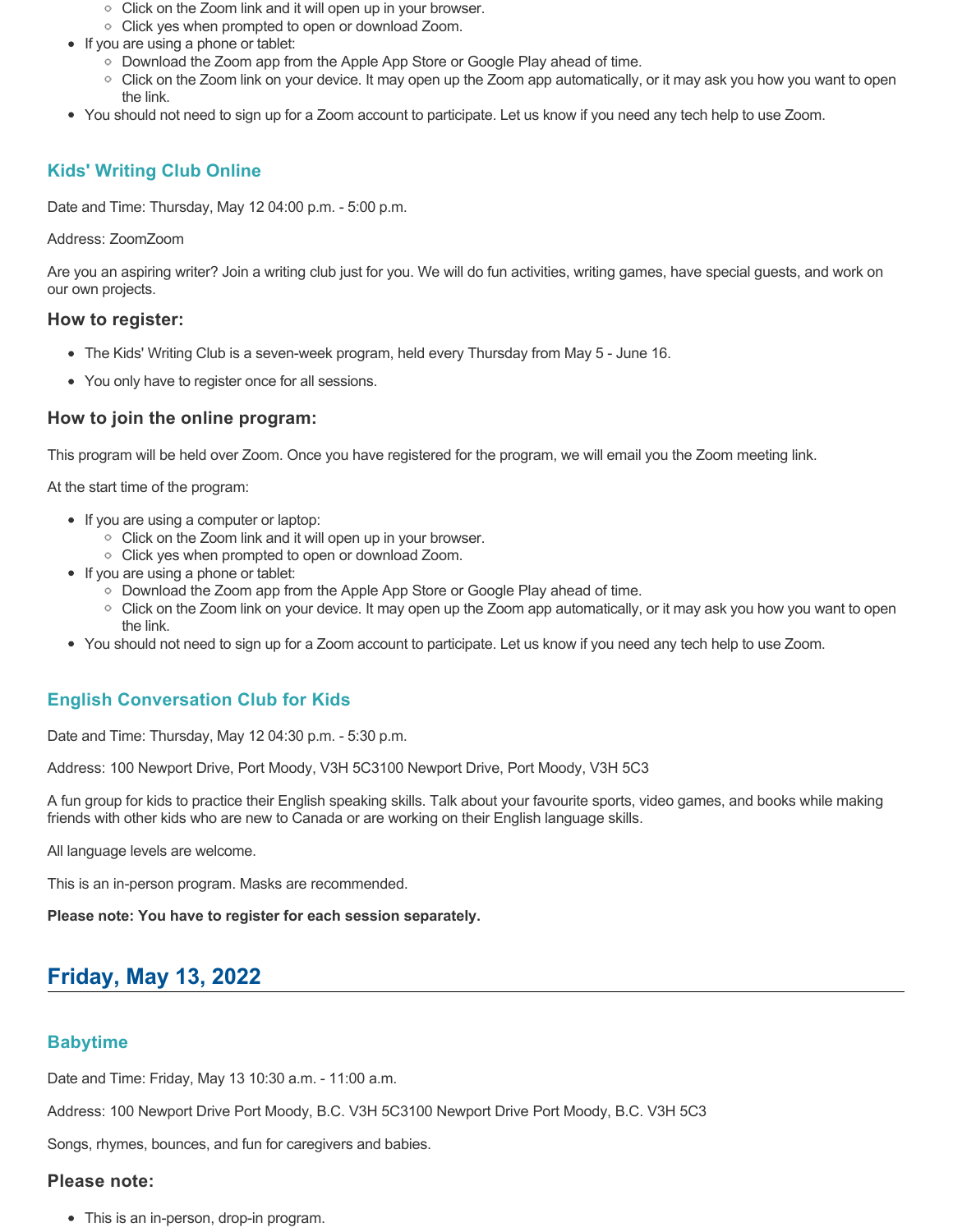- Click on the Zoom link and it will open up in your browser.
- Click yes when prompted to open or download Zoom.
- If you are using a phone or tablet:
	- Download the Zoom app from the Apple App Store or Google Play ahead of time.
	- Click on the Zoom link on your device. It may open up the Zoom app automatically, or it may ask you how you want to open the link.
- You should not need to sign up for a Zoom account to participate. Let us know if you need any tech help to use Zoom.

# **Kids' Writing Club Online**

Date and Time: Thursday, May 12 04:00 p.m. - 5:00 p.m.

#### Address: ZoomZoom

Are you an aspiring writer? Join a writing club just for you. We will do fun activities, writing games, have special guests, and work on our own projects.

### **How to register:**

- The Kids' Writing Club is a seven-week program, held every Thursday from May 5 June 16.
- You only have to register once for all sessions.

## **How to join the online program:**

This program will be held over Zoom. Once you have registered for the program, we will email you the Zoom meeting link.

At the start time of the program:

- If you are using a computer or laptop:
	- Click on the Zoom link and it will open up in your browser.
	- Click yes when prompted to open or download Zoom.
- If you are using a phone or tablet:
	- Download the Zoom app from the Apple App Store or Google Play ahead of time.
	- Click on the Zoom link on your device. It may open up the Zoom app automatically, or it may ask you how you want to open the link.
- You should not need to sign up for a Zoom account to participate. Let us know if you need any tech help to use Zoom.

# **English Conversation Club for Kids**

Date and Time: Thursday, May 12 04:30 p.m. - 5:30 p.m.

Address: 100 Newport Drive, Port Moody, V3H 5C3100 Newport Drive, Port Moody, V3H 5C3

A fun group for kids to practice their English speaking skills. Talk about your favourite sports, video games, and books while making friends with other kids who are new to Canada or are working on their English language skills.

All language levels are welcome.

This is an in-person program. Masks are recommended.

**Please note: You have to register for each session separately.**

# **Friday, May 13, 2022**

# **Babytime**

Date and Time: Friday, May 13 10:30 a.m. - 11:00 a.m.

Address: 100 Newport Drive Port Moody, B.C. V3H 5C3100 Newport Drive Port Moody, B.C. V3H 5C3

Songs, rhymes, bounces, and fun for caregivers and babies.

#### **Please note:**

• This is an in-person, drop-in program.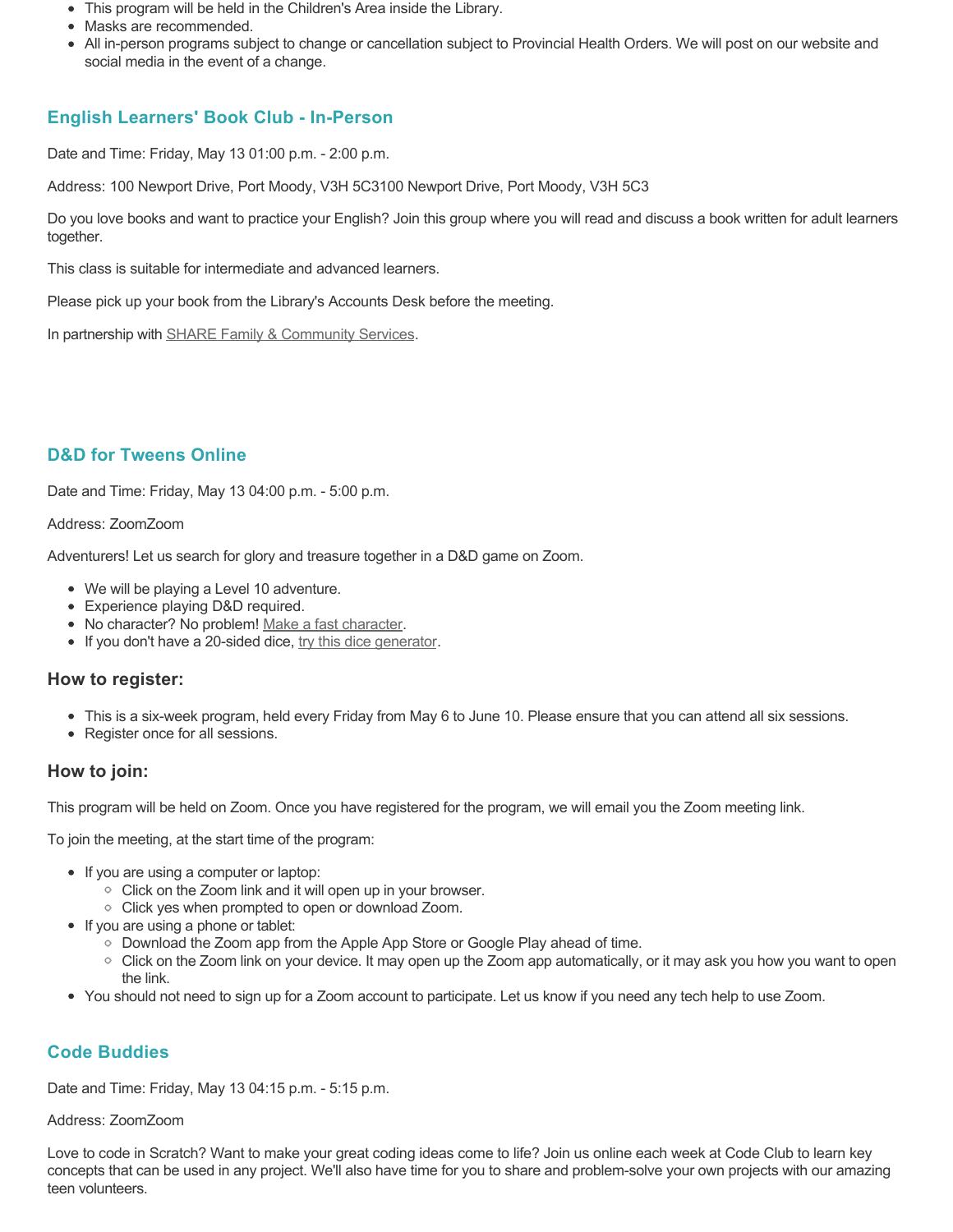- This program will be held in the Children's Area inside the Library.
- Masks are recommended.
- All in-person programs subject to change or cancellation subject to Provincial Health Orders. We will post on our website and social media in the event of a change.

# **English Learners' Book Club - In-Person**

Date and Time: Friday, May 13 01:00 p.m. - 2:00 p.m.

Address: 100 Newport Drive, Port Moody, V3H 5C3100 Newport Drive, Port Moody, V3H 5C3

Do you love books and want to practice your English? Join this group where you will read and discuss a book written for adult learners together.

This class is suitable for intermediate and advanced learners.

Please pick up your book from the Library's Accounts Desk before the meeting.

In partnership with **SHARE Family & Community Services**.

# **D&D for Tweens Online**

Date and Time: Friday, May 13 04:00 p.m. - 5:00 p.m.

#### Address: ZoomZoom

Adventurers! Let us search for glory and treasure together in a D&D game on Zoom.

- We will be playing a Level 10 adventure.
- Experience playing D&D required.
- No character? No problem! [Make a fast character.](https://fastcharacter.com/)
- If you don't have a 20-sided dice, [try this dice generator.](https://www.wizards.com/dnd/dice/dice.htm)

### **How to register:**

- This is a six-week program, held every Friday from May 6 to June 10. Please ensure that you can attend all six sessions.
- Register once for all sessions.

### **How to join:**

This program will be held on Zoom. Once you have registered for the program, we will email you the Zoom meeting link.

To join the meeting, at the start time of the program:

- If you are using a computer or laptop:
	- Click on the Zoom link and it will open up in your browser.
	- Click yes when prompted to open or download Zoom.
- If you are using a phone or tablet:
	- Download the Zoom app from the Apple App Store or Google Play ahead of time.
	- Click on the Zoom link on your device. It may open up the Zoom app automatically, or it may ask you how you want to open the link.
- You should not need to sign up for a Zoom account to participate. Let us know if you need any tech help to use Zoom.

# **Code Buddies**

Date and Time: Friday, May 13 04:15 p.m. - 5:15 p.m.

#### Address: ZoomZoom

Love to code in Scratch? Want to make your great coding ideas come to life? Join us online each week at Code Club to learn key concepts that can be used in any project. We'll also have time for you to share and problem-solve your own projects with our amazing teen volunteers.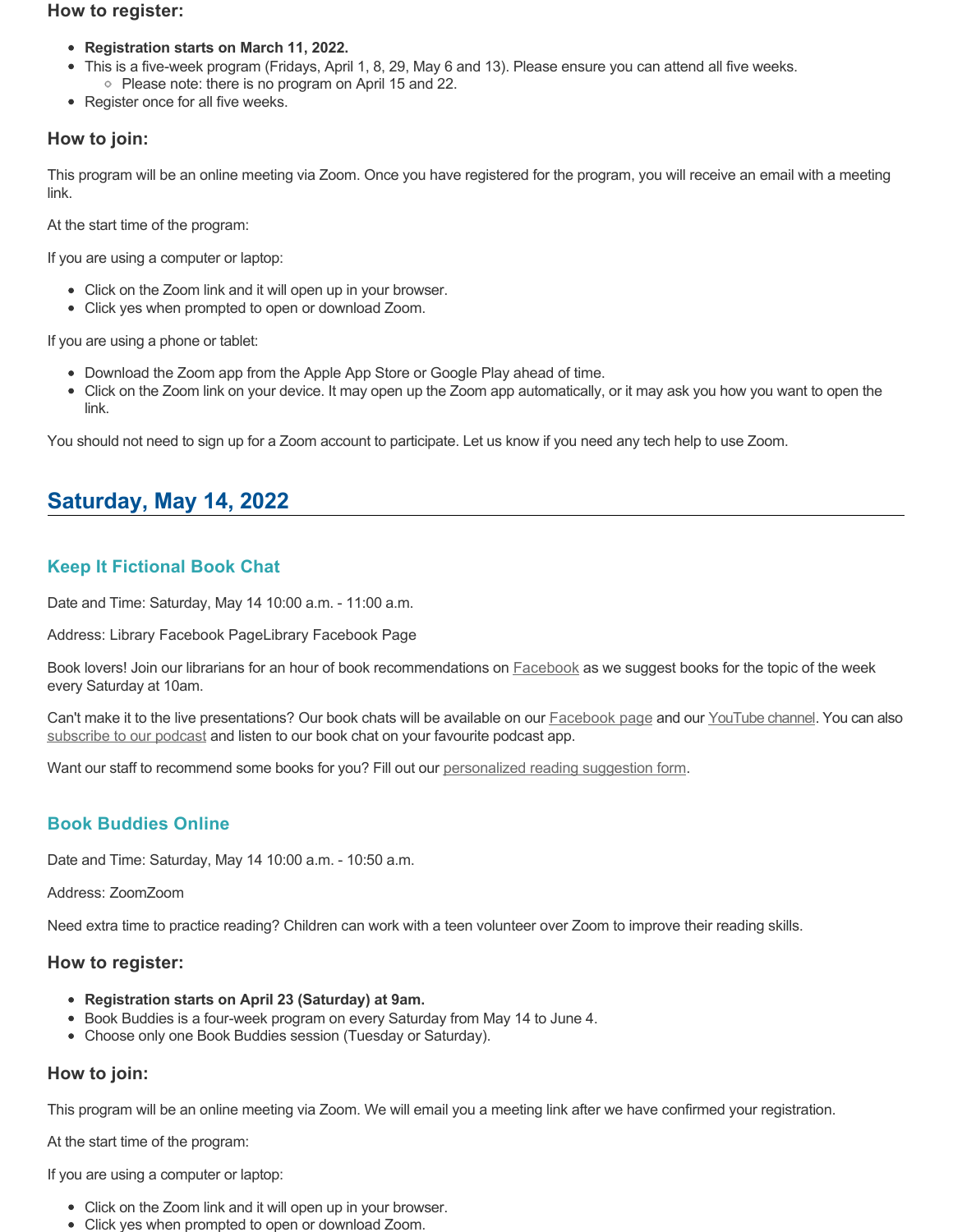### **How to register:**

- **Registration starts on March 11, 2022.**
- This is a five-week program (Fridays, April 1, 8, 29, May 6 and 13). Please ensure you can attend all five weeks. • Please note: there is no program on April 15 and 22.
- Register once for all five weeks.

## **How to join:**

This program will be an online meeting via Zoom. Once you have registered for the program, you will receive an email with a meeting link.

At the start time of the program:

If you are using a computer or laptop:

- Click on the Zoom link and it will open up in your browser.
- Click yes when prompted to open or download Zoom.

If you are using a phone or tablet:

- Download the Zoom app from the Apple App Store or Google Play ahead of time.
- Click on the Zoom link on your device. It may open up the Zoom app automatically, or it may ask you how you want to open the link.

You should not need to sign up for a Zoom account to participate. Let us know if you need any tech help to use Zoom.

# **Saturday, May 14, 2022**

# **Keep It Fictional Book Chat**

Date and Time: Saturday, May 14 10:00 a.m. - 11:00 a.m.

Address: Library Facebook PageLibrary Facebook Page

Book lovers! Join our librarians for an hour of book recommendations on **[Facebook](https://www.facebook.com/pomolibrary)** as we suggest books for the topic of the week every Saturday at 10am.

Can't make it to the live presentations? Our book chats will be available on our [Facebook page](https://www.facebook.com/pomolibrary/) and our [YouTube channel](https://www.youtube.com/channel/UC2I_AE1E_BpN8xBXwyzhiYg?view_as=subscriber). You can also [subscribe to our podcast](https://anchor.fm/keepitfictional) and listen to our book chat on your favourite podcast app.

Want our staff to recommend some books for you? Fill out our [personalized reading suggestion form](https://www.portmoodylibrary.ca/en/borrow/reading-suggestions.aspx).

# **Book Buddies Online**

Date and Time: Saturday, May 14 10:00 a.m. - 10:50 a.m.

Address: ZoomZoom

Need extra time to practice reading? Children can work with a teen volunteer over Zoom to improve their reading skills.

### **How to register:**

- **Registration starts on April 23 (Saturday) at 9am.**
- Book Buddies is a four-week program on every Saturday from May 14 to June 4.
- Choose only one Book Buddies session (Tuesday or Saturday).

### **How to join:**

This program will be an online meeting via Zoom. We will email you a meeting link after we have confirmed your registration.

At the start time of the program:

If you are using a computer or laptop:

- Click on the Zoom link and it will open up in your browser.
- Click yes when prompted to open or download Zoom.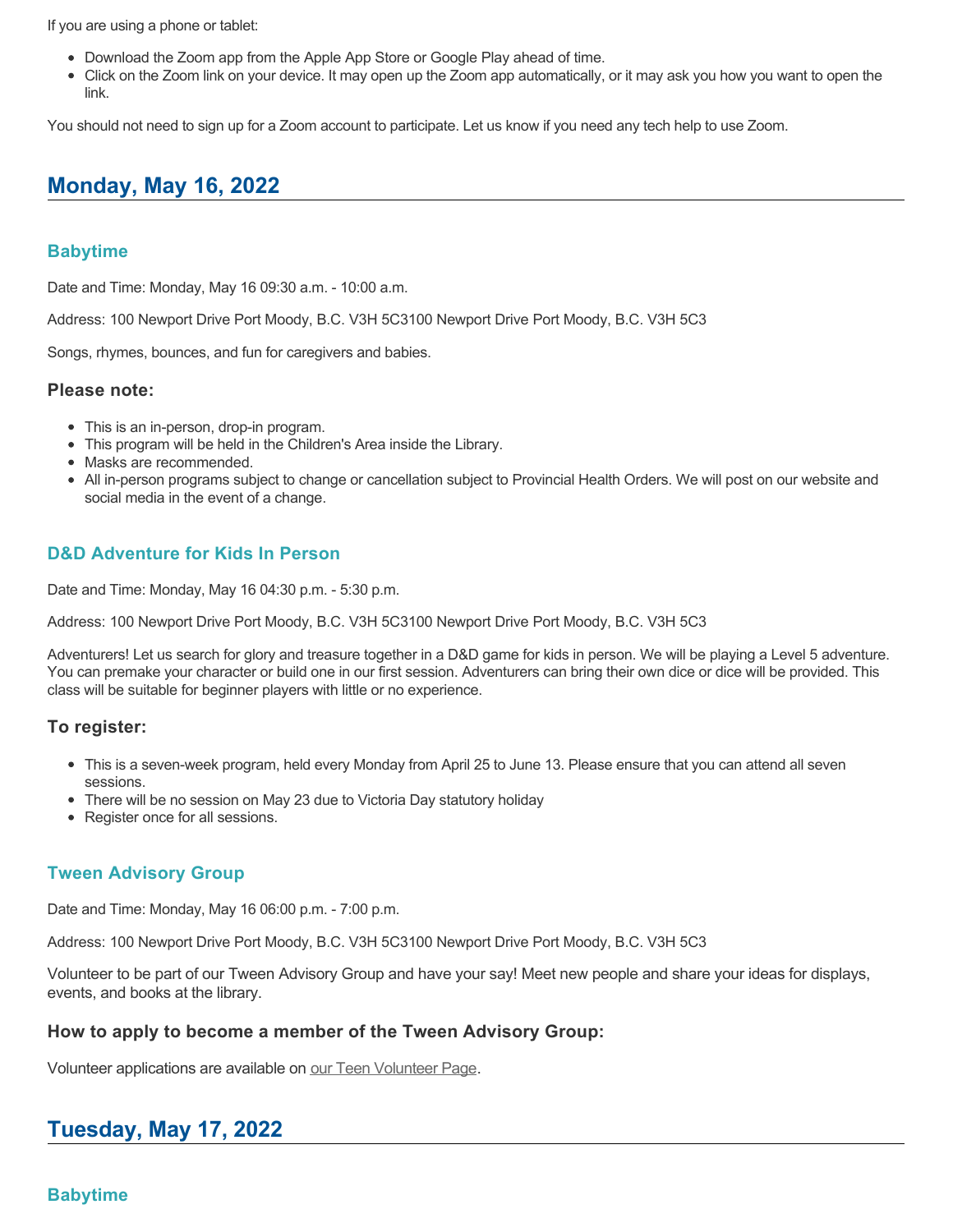If you are using a phone or tablet:

- Download the Zoom app from the Apple App Store or Google Play ahead of time.
- Click on the Zoom link on your device. It may open up the Zoom app automatically, or it may ask you how you want to open the link.

You should not need to sign up for a Zoom account to participate. Let us know if you need any tech help to use Zoom.

# **Monday, May 16, 2022**

# **Babytime**

Date and Time: Monday, May 16 09:30 a.m. - 10:00 a.m.

Address: 100 Newport Drive Port Moody, B.C. V3H 5C3100 Newport Drive Port Moody, B.C. V3H 5C3

Songs, rhymes, bounces, and fun for caregivers and babies.

# **Please note:**

- This is an in-person, drop-in program.
- This program will be held in the Children's Area inside the Library.
- Masks are recommended.
- All in-person programs subject to change or cancellation subject to Provincial Health Orders. We will post on our website and social media in the event of a change.

# **D&D Adventure for Kids In Person**

Date and Time: Monday, May 16 04:30 p.m. - 5:30 p.m.

Address: 100 Newport Drive Port Moody, B.C. V3H 5C3100 Newport Drive Port Moody, B.C. V3H 5C3

Adventurers! Let us search for glory and treasure together in a D&D game for kids in person. We will be playing a Level 5 adventure. You can premake your character or build one in our first session. Adventurers can bring their own dice or dice will be provided. This class will be suitable for beginner players with little or no experience.

# **To register:**

- This is a seven-week program, held every Monday from April 25 to June 13. Please ensure that you can attend all seven sessions.
- There will be no session on May 23 due to Victoria Day statutory holiday
- Register once for all sessions.

# **Tween Advisory Group**

Date and Time: Monday, May 16 06:00 p.m. - 7:00 p.m.

Address: 100 Newport Drive Port Moody, B.C. V3H 5C3100 Newport Drive Port Moody, B.C. V3H 5C3

Volunteer to be part of our Tween Advisory Group and have your say! Meet new people and share your ideas for displays, events, and books at the library.

# **How to apply to become a member of the Tween Advisory Group:**

Volunteer applications are available on [our Teen Volunteer Page.](https://www.portmoodylibrary.ca/en/programs-and-events/teen-volunteer-programs.aspx)

# **Tuesday, May 17, 2022**

# **Babytime**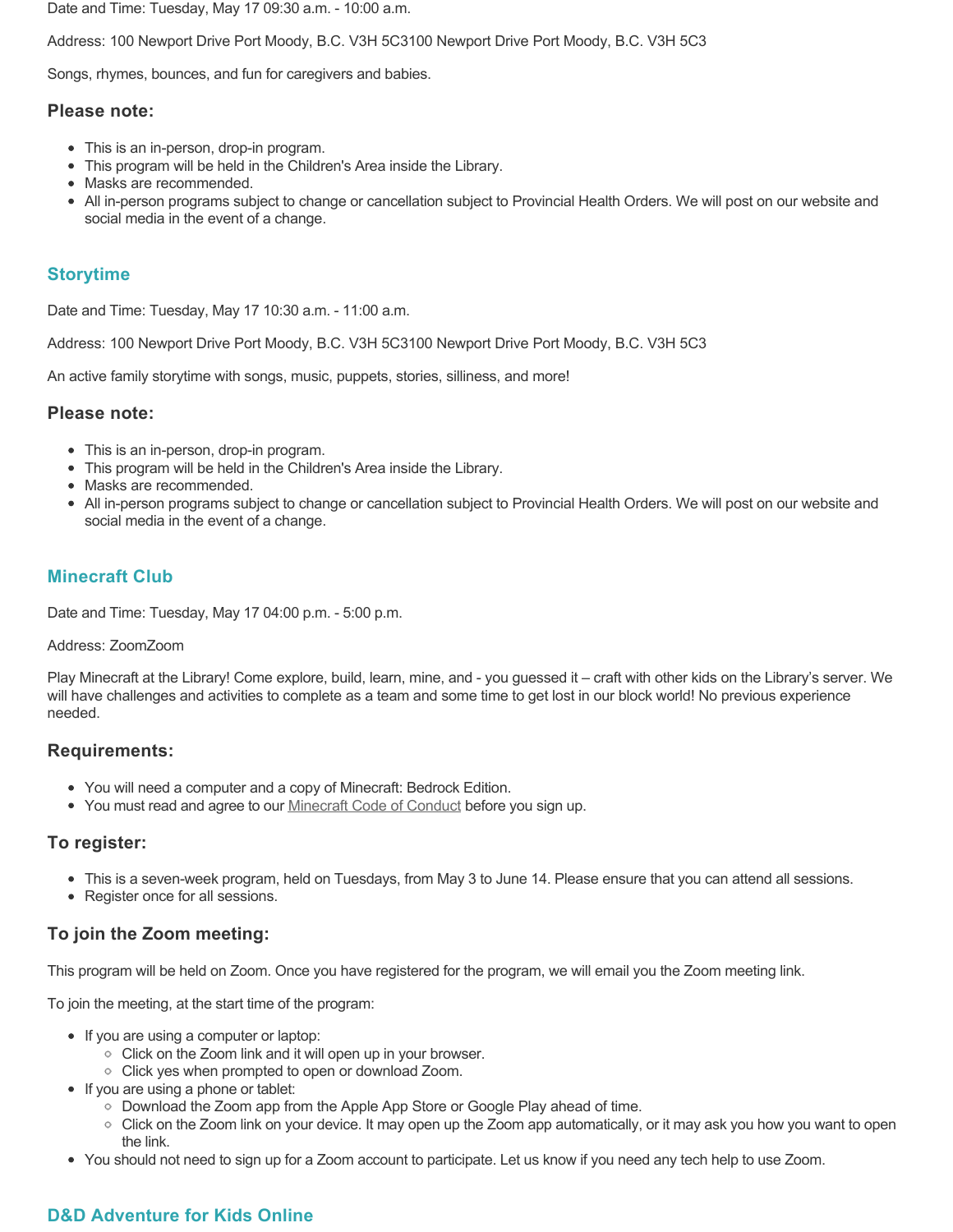Date and Time: Tuesday, May 17 09:30 a.m. - 10:00 a.m.

Address: 100 Newport Drive Port Moody, B.C. V3H 5C3100 Newport Drive Port Moody, B.C. V3H 5C3

Songs, rhymes, bounces, and fun for caregivers and babies.

#### **Please note:**

- This is an in-person, drop-in program.
- This program will be held in the Children's Area inside the Library.
- Masks are recommended.
- All in-person programs subject to change or cancellation subject to Provincial Health Orders. We will post on our website and social media in the event of a change.

## **Storytime**

Date and Time: Tuesday, May 17 10:30 a.m. - 11:00 a.m.

Address: 100 Newport Drive Port Moody, B.C. V3H 5C3100 Newport Drive Port Moody, B.C. V3H 5C3

An active family storytime with songs, music, puppets, stories, silliness, and more!

#### **Please note:**

- This is an in-person, drop-in program.
- This program will be held in the Children's Area inside the Library.
- Masks are recommended.
- All in-person programs subject to change or cancellation subject to Provincial Health Orders. We will post on our website and social media in the event of a change.

## **Minecraft Club**

Date and Time: Tuesday, May 17 04:00 p.m. - 5:00 p.m.

#### Address: ZoomZoom

Play Minecraft at the Library! Come explore, build, learn, mine, and - you guessed it – craft with other kids on the Library's server. We will have challenges and activities to complete as a team and some time to get lost in our block world! No previous experience needed.

### **Requirements:**

- You will need a computer and a copy of Minecraft: Bedrock Edition.
- You must read and agree to our [Minecraft Code of Conduct](https://www.portmoodylibrary.ca/en/services/edocs.ashx?docnumber=577372) before you sign up.

### **To register:**

- This is a seven-week program, held on Tuesdays, from May 3 to June 14. Please ensure that you can attend all sessions.
- Register once for all sessions.

# **To join the Zoom meeting:**

This program will be held on Zoom. Once you have registered for the program, we will email you the Zoom meeting link.

To join the meeting, at the start time of the program:

- If you are using a computer or laptop:
	- Click on the Zoom link and it will open up in your browser.
	- Click yes when prompted to open or download Zoom.
- If you are using a phone or tablet:
	- Download the Zoom app from the Apple App Store or Google Play ahead of time.
	- Click on the Zoom link on your device. It may open up the Zoom app automatically, or it may ask you how you want to open the link.
- You should not need to sign up for a Zoom account to participate. Let us know if you need any tech help to use Zoom.

# **D&D Adventure for Kids Online**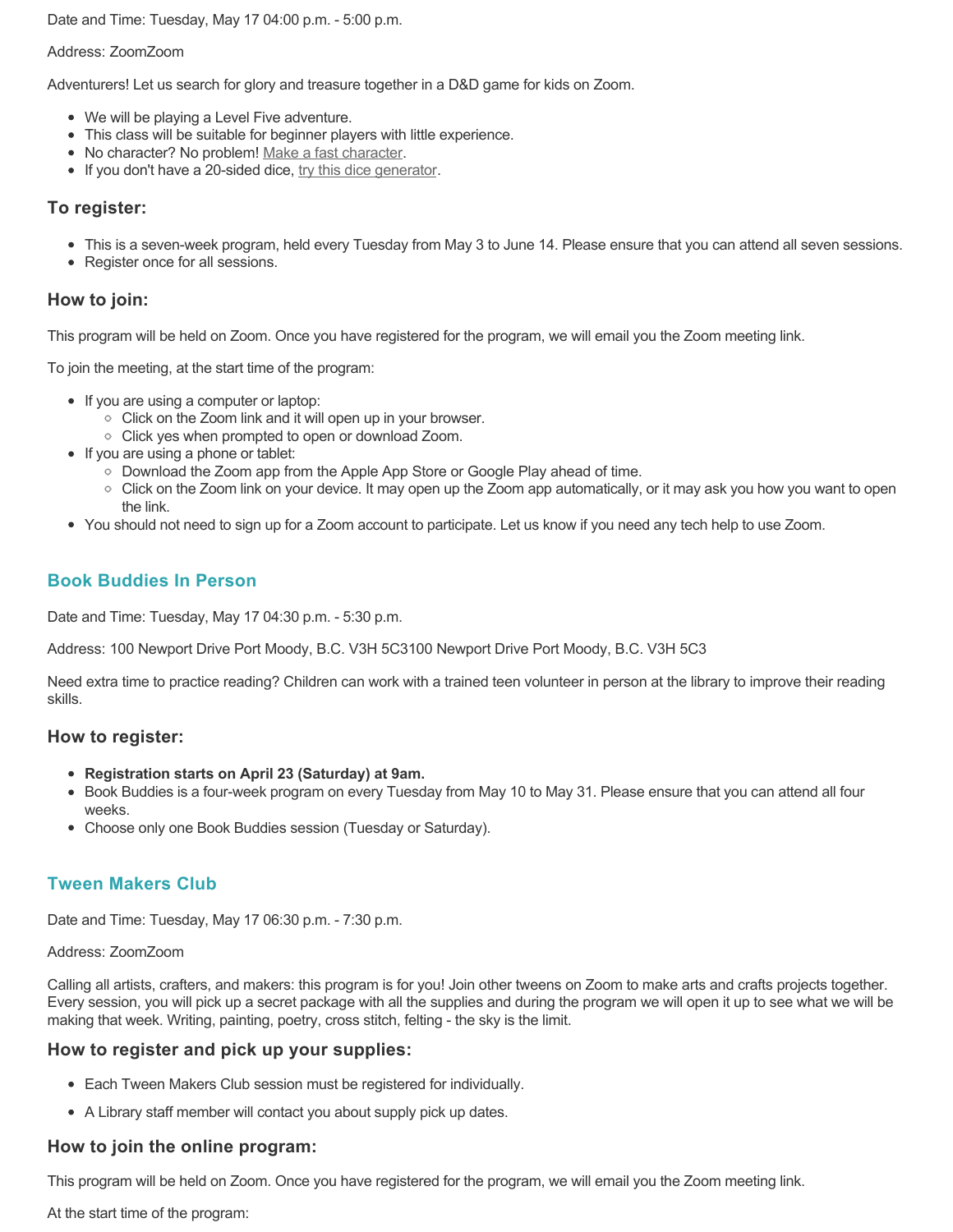Date and Time: Tuesday, May 17 04:00 p.m. - 5:00 p.m.

#### Address: ZoomZoom

Adventurers! Let us search for glory and treasure together in a D&D game for kids on Zoom.

- We will be playing a Level Five adventure.
- This class will be suitable for beginner players with little experience.
- No character? No problem! [Make a fast character.](https://fastcharacter.com/)
- If you don't have a 20-sided dice, [try this dice generator.](https://www.wizards.com/dnd/dice/dice.htm)

## **To register:**

- This is a seven-week program, held every Tuesday from May 3 to June 14. Please ensure that you can attend all seven sessions.
- Register once for all sessions.

## **How to join:**

This program will be held on Zoom. Once you have registered for the program, we will email you the Zoom meeting link.

To join the meeting, at the start time of the program:

- If you are using a computer or laptop:
	- Click on the Zoom link and it will open up in your browser.
	- Click yes when prompted to open or download Zoom.
- If you are using a phone or tablet:
	- Download the Zoom app from the Apple App Store or Google Play ahead of time.
	- Click on the Zoom link on your device. It may open up the Zoom app automatically, or it may ask you how you want to open the link.
- You should not need to sign up for a Zoom account to participate. Let us know if you need any tech help to use Zoom.

# **Book Buddies In Person**

Date and Time: Tuesday, May 17 04:30 p.m. - 5:30 p.m.

Address: 100 Newport Drive Port Moody, B.C. V3H 5C3100 Newport Drive Port Moody, B.C. V3H 5C3

Need extra time to practice reading? Children can work with a trained teen volunteer in person at the library to improve their reading skills.

### **How to register:**

- **Registration starts on April 23 (Saturday) at 9am.**
- Book Buddies is a four-week program on every Tuesday from May 10 to May 31. Please ensure that you can attend all four weeks.
- Choose only one Book Buddies session (Tuesday or Saturday).

# **Tween Makers Club**

Date and Time: Tuesday, May 17 06:30 p.m. - 7:30 p.m.

#### Address: ZoomZoom

Calling all artists, crafters, and makers: this program is for you! Join other tweens on Zoom to make arts and crafts projects together. Every session, you will pick up a secret package with all the supplies and during the program we will open it up to see what we will be making that week. Writing, painting, poetry, cross stitch, felting - the sky is the limit.

### **How to register and pick up your supplies:**

- Each Tween Makers Club session must be registered for individually.
- A Library staff member will contact you about supply pick up dates.

# **How to join the online program:**

This program will be held on Zoom. Once you have registered for the program, we will email you the Zoom meeting link.

At the start time of the program: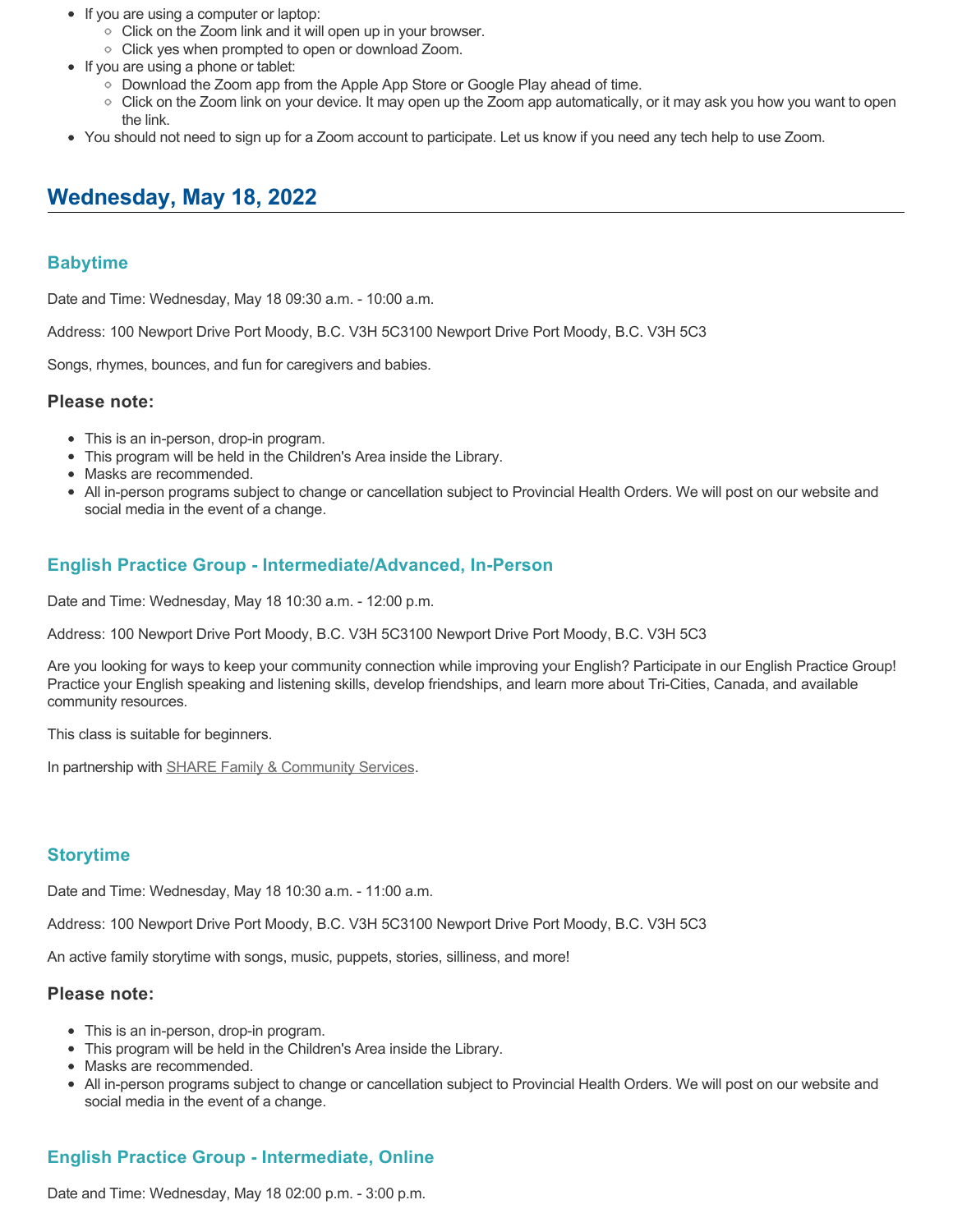- If you are using a computer or laptop:
	- Click on the Zoom link and it will open up in your browser.
	- $\circ$  Click yes when prompted to open or download Zoom.
- If you are using a phone or tablet:
	- Download the Zoom app from the Apple App Store or Google Play ahead of time.
	- Click on the Zoom link on your device. It may open up the Zoom app automatically, or it may ask you how you want to open the link.
- You should not need to sign up for a Zoom account to participate. Let us know if you need any tech help to use Zoom.

# **Wednesday, May 18, 2022**

## **Babytime**

Date and Time: Wednesday, May 18 09:30 a.m. - 10:00 a.m.

Address: 100 Newport Drive Port Moody, B.C. V3H 5C3100 Newport Drive Port Moody, B.C. V3H 5C3

Songs, rhymes, bounces, and fun for caregivers and babies.

#### **Please note:**

- This is an in-person, drop-in program.
- This program will be held in the Children's Area inside the Library.
- Masks are recommended.
- All in-person programs subject to change or cancellation subject to Provincial Health Orders. We will post on our website and social media in the event of a change.

## **English Practice Group - Intermediate/Advanced, In-Person**

Date and Time: Wednesday, May 18 10:30 a.m. - 12:00 p.m.

Address: 100 Newport Drive Port Moody, B.C. V3H 5C3100 Newport Drive Port Moody, B.C. V3H 5C3

Are you looking for ways to keep your community connection while improving your English? Participate in our English Practice Group! Practice your English speaking and listening skills, develop friendships, and learn more about Tri-Cities, Canada, and available community resources.

This class is suitable for beginners.

In partnership with [SHARE Family & Community Services.](https://sharesociety.ca/)

# **Storytime**

Date and Time: Wednesday, May 18 10:30 a.m. - 11:00 a.m.

Address: 100 Newport Drive Port Moody, B.C. V3H 5C3100 Newport Drive Port Moody, B.C. V3H 5C3

An active family storytime with songs, music, puppets, stories, silliness, and more!

#### **Please note:**

- This is an in-person, drop-in program.
- This program will be held in the Children's Area inside the Library.
- Masks are recommended.
- All in-person programs subject to change or cancellation subject to Provincial Health Orders. We will post on our website and social media in the event of a change.

# **English Practice Group - Intermediate, Online**

Date and Time: Wednesday, May 18 02:00 p.m. - 3:00 p.m.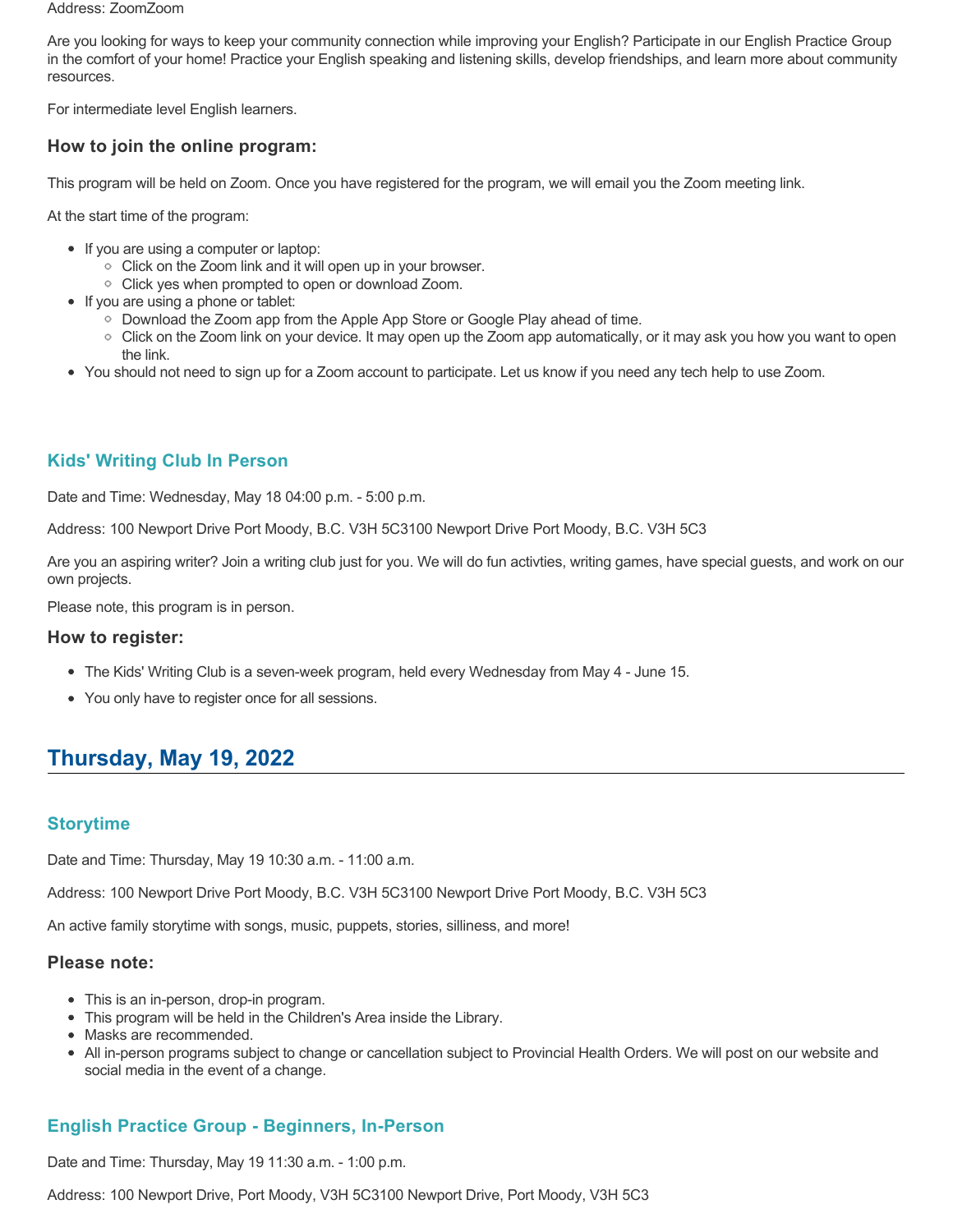#### Address: ZoomZoom

Are you looking for ways to keep your community connection while improving your English? Participate in our English Practice Group in the comfort of your home! Practice your English speaking and listening skills, develop friendships, and learn more about community resources.

For intermediate level English learners.

## **How to join the online program:**

This program will be held on Zoom. Once you have registered for the program, we will email you the Zoom meeting link.

At the start time of the program:

- If you are using a computer or laptop:
	- Click on the Zoom link and it will open up in your browser.
	- Click yes when prompted to open or download Zoom.
- If you are using a phone or tablet:
	- Download the Zoom app from the Apple App Store or Google Play ahead of time.
	- $\circ$  Click on the Zoom link on your device. It may open up the Zoom app automatically, or it may ask you how you want to open the link.
- You should not need to sign up for a Zoom account to participate. Let us know if you need any tech help to use Zoom.

## **Kids' Writing Club In Person**

Date and Time: Wednesday, May 18 04:00 p.m. - 5:00 p.m.

Address: 100 Newport Drive Port Moody, B.C. V3H 5C3100 Newport Drive Port Moody, B.C. V3H 5C3

Are you an aspiring writer? Join a writing club just for you. We will do fun activties, writing games, have special guests, and work on our own projects.

Please note, this program is in person.

#### **How to register:**

- The Kids' Writing Club is a seven-week program, held every Wednesday from May 4 June 15.
- You only have to register once for all sessions.

# **Thursday, May 19, 2022**

### **Storytime**

Date and Time: Thursday, May 19 10:30 a.m. - 11:00 a.m.

Address: 100 Newport Drive Port Moody, B.C. V3H 5C3100 Newport Drive Port Moody, B.C. V3H 5C3

An active family storytime with songs, music, puppets, stories, silliness, and more!

#### **Please note:**

- This is an in-person, drop-in program.
- This program will be held in the Children's Area inside the Library.
- Masks are recommended.
- All in-person programs subject to change or cancellation subject to Provincial Health Orders. We will post on our website and social media in the event of a change.

# **English Practice Group - Beginners, In-Person**

Date and Time: Thursday, May 19 11:30 a.m. - 1:00 p.m.

Address: 100 Newport Drive, Port Moody, V3H 5C3100 Newport Drive, Port Moody, V3H 5C3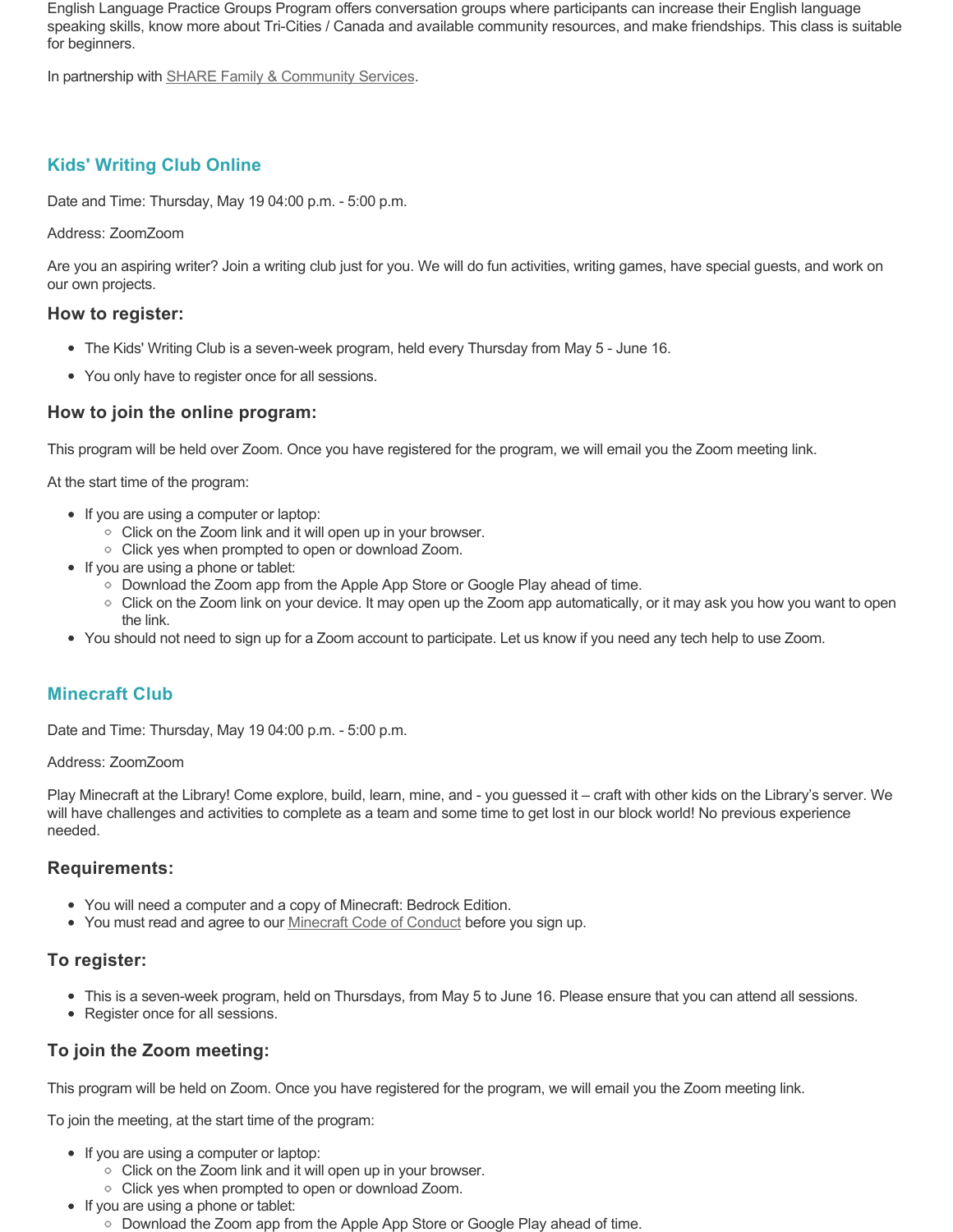English Language Practice Groups Program offers conversation groups where participants can increase their English language speaking skills, know more about Tri-Cities / Canada and available community resources, and make friendships. This class is suitable for beginners.

In partnership with **SHARE Family & Community Services**.

# **Kids' Writing Club Online**

Date and Time: Thursday, May 19 04:00 p.m. - 5:00 p.m.

#### Address: ZoomZoom

Are you an aspiring writer? Join a writing club just for you. We will do fun activities, writing games, have special guests, and work on our own projects.

## **How to register:**

- The Kids' Writing Club is a seven-week program, held every Thursday from May 5 June 16.
- You only have to register once for all sessions.

## **How to join the online program:**

This program will be held over Zoom. Once you have registered for the program, we will email you the Zoom meeting link.

At the start time of the program:

- If you are using a computer or laptop:
	- Click on the Zoom link and it will open up in your browser.
	- Click yes when prompted to open or download Zoom.
- If you are using a phone or tablet:
	- Download the Zoom app from the Apple App Store or Google Play ahead of time.
	- Click on the Zoom link on your device. It may open up the Zoom app automatically, or it may ask you how you want to open the link.
- You should not need to sign up for a Zoom account to participate. Let us know if you need any tech help to use Zoom.

# **Minecraft Club**

Date and Time: Thursday, May 19 04:00 p.m. - 5:00 p.m.

#### Address: ZoomZoom

Play Minecraft at the Library! Come explore, build, learn, mine, and - you guessed it – craft with other kids on the Library's server. We will have challenges and activities to complete as a team and some time to get lost in our block world! No previous experience needed.

### **Requirements:**

- You will need a computer and a copy of Minecraft: Bedrock Edition.
- You must read and agree to our [Minecraft Code of Conduct](https://www.portmoodylibrary.ca/en/services/edocs.ashx?docnumber=577372) before you sign up.

### **To register:**

- This is a seven-week program, held on Thursdays, from May 5 to June 16. Please ensure that you can attend all sessions.
- Register once for all sessions.

# **To join the Zoom meeting:**

This program will be held on Zoom. Once you have registered for the program, we will email you the Zoom meeting link.

To join the meeting, at the start time of the program:

- If you are using a computer or laptop:
	- Click on the Zoom link and it will open up in your browser.
	- Click yes when prompted to open or download Zoom.
- If you are using a phone or tablet:
	- Download the Zoom app from the Apple App Store or Google Play ahead of time.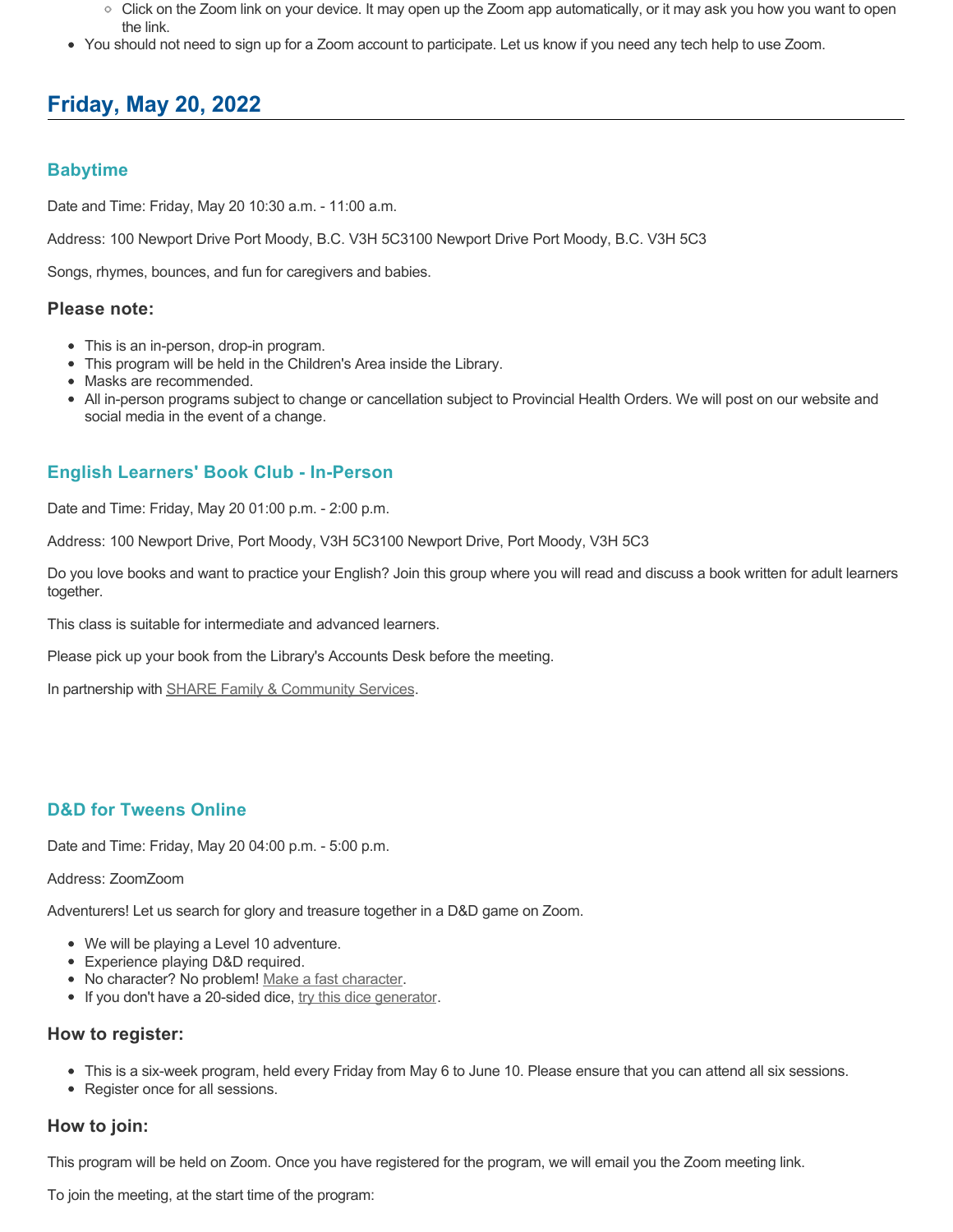- $\circ$  Click on the Zoom link on your device. It may open up the Zoom app automatically, or it may ask you how you want to open the link.
- You should not need to sign up for a Zoom account to participate. Let us know if you need any tech help to use Zoom.

# **Friday, May 20, 2022**

## **Babytime**

Date and Time: Friday, May 20 10:30 a.m. - 11:00 a.m.

Address: 100 Newport Drive Port Moody, B.C. V3H 5C3100 Newport Drive Port Moody, B.C. V3H 5C3

Songs, rhymes, bounces, and fun for caregivers and babies.

#### **Please note:**

- This is an in-person, drop-in program.
- This program will be held in the Children's Area inside the Library.
- Masks are recommended.
- All in-person programs subject to change or cancellation subject to Provincial Health Orders. We will post on our website and social media in the event of a change.

# **English Learners' Book Club - In-Person**

Date and Time: Friday, May 20 01:00 p.m. - 2:00 p.m.

Address: 100 Newport Drive, Port Moody, V3H 5C3100 Newport Drive, Port Moody, V3H 5C3

Do you love books and want to practice your English? Join this group where you will read and discuss a book written for adult learners together.

This class is suitable for intermediate and advanced learners.

Please pick up your book from the Library's Accounts Desk before the meeting.

In partnership with [SHARE Family & Community Services.](https://sharesociety.ca/)

### **D&D for Tweens Online**

Date and Time: Friday, May 20 04:00 p.m. - 5:00 p.m.

#### Address: ZoomZoom

Adventurers! Let us search for glory and treasure together in a D&D game on Zoom.

- We will be playing a Level 10 adventure.
- Experience playing D&D required.
- No character? No problem! [Make a fast character.](https://fastcharacter.com/)
- If you don't have a 20-sided dice, [try this dice generator.](https://www.wizards.com/dnd/dice/dice.htm)

#### **How to register:**

- This is a six-week program, held every Friday from May 6 to June 10. Please ensure that you can attend all six sessions.
- Register once for all sessions.

### **How to join:**

This program will be held on Zoom. Once you have registered for the program, we will email you the Zoom meeting link.

To join the meeting, at the start time of the program: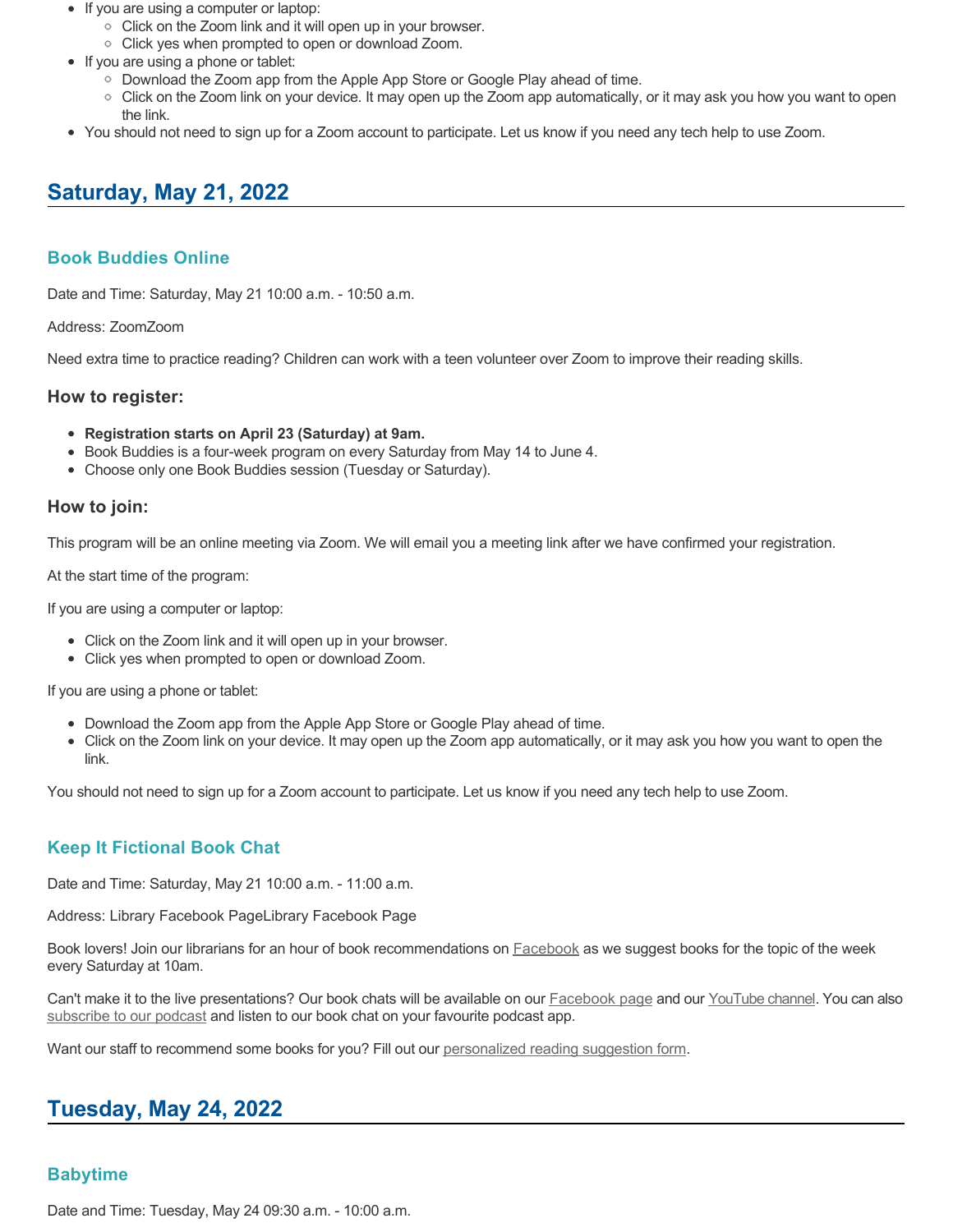- If you are using a computer or laptop:
	- Click on the Zoom link and it will open up in your browser.
	- Click yes when prompted to open or download Zoom.
- If you are using a phone or tablet:
	- Download the Zoom app from the Apple App Store or Google Play ahead of time.
	- Click on the Zoom link on your device. It may open up the Zoom app automatically, or it may ask you how you want to open the link.
- You should not need to sign up for a Zoom account to participate. Let us know if you need any tech help to use Zoom.

# **Saturday, May 21, 2022**

# **Book Buddies Online**

Date and Time: Saturday, May 21 10:00 a.m. - 10:50 a.m.

Address: ZoomZoom

Need extra time to practice reading? Children can work with a teen volunteer over Zoom to improve their reading skills.

### **How to register:**

- **Registration starts on April 23 (Saturday) at 9am.**
- Book Buddies is a four-week program on every Saturday from May 14 to June 4.
- Choose only one Book Buddies session (Tuesday or Saturday).

#### **How to join:**

This program will be an online meeting via Zoom. We will email you a meeting link after we have confirmed your registration.

At the start time of the program:

If you are using a computer or laptop:

- Click on the Zoom link and it will open up in your browser.
- Click yes when prompted to open or download Zoom.

If you are using a phone or tablet:

- Download the Zoom app from the Apple App Store or Google Play ahead of time.
- Click on the Zoom link on your device. It may open up the Zoom app automatically, or it may ask you how you want to open the link.

You should not need to sign up for a Zoom account to participate. Let us know if you need any tech help to use Zoom.

# **Keep It Fictional Book Chat**

Date and Time: Saturday, May 21 10:00 a.m. - 11:00 a.m.

Address: Library Facebook PageLibrary Facebook Page

Book lovers! Join our librarians for an hour of book recommendations on **[Facebook](https://www.facebook.com/pomolibrary)** as we suggest books for the topic of the week every Saturday at 10am.

Can't make it to the live presentations? Our book chats will be available on our **Facebook page and our [YouTube channel](https://www.youtube.com/channel/UC2I_AE1E_BpN8xBXwyzhiYg?view_as=subscriber)**. You can also [subscribe to our podcast](https://anchor.fm/keepitfictional) and listen to our book chat on your favourite podcast app.

Want our staff to recommend some books for you? Fill out our [personalized reading suggestion form](https://www.portmoodylibrary.ca/en/borrow/reading-suggestions.aspx).

# **Tuesday, May 24, 2022**

### **Babytime**

Date and Time: Tuesday, May 24 09:30 a.m. - 10:00 a.m.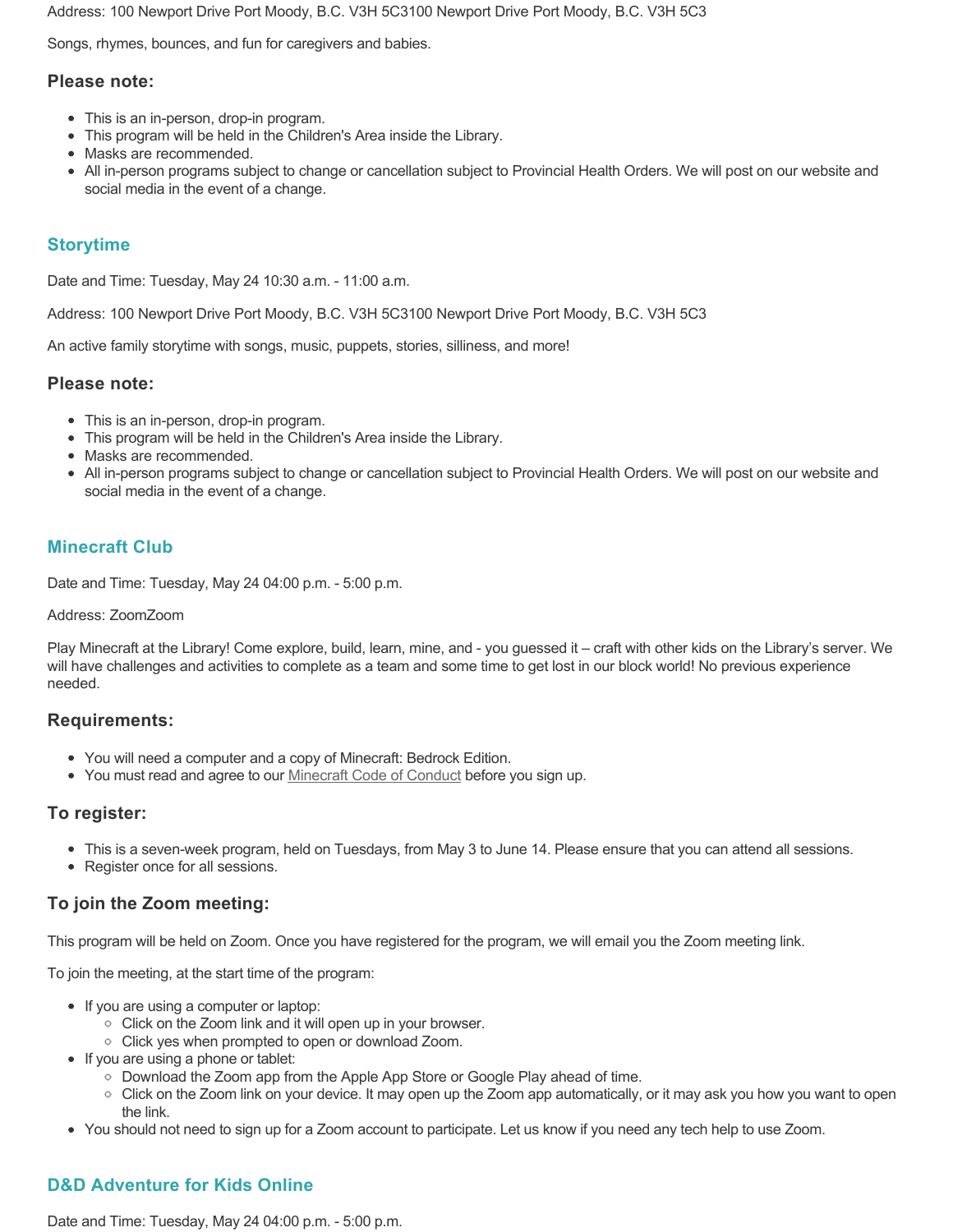Address: 100 Newport Drive Port Moody, B.C. V3H 5C3100 Newport Drive Port Moody, B.C. V3H 5C3

Songs, rhymes, bounces, and fun for caregivers and babies.

### **Please note:**

- This is an in-person, drop-in program.
- This program will be held in the Children's Area inside the Library.
- Masks are recommended.
- All in-person programs subject to change or cancellation subject to Provincial Health Orders. We will post on our website and social media in the event of a change.

## **Storytime**

Date and Time: Tuesday, May 24 10:30 a.m. - 11:00 a.m.

Address: 100 Newport Drive Port Moody, B.C. V3H 5C3100 Newport Drive Port Moody, B.C. V3H 5C3

An active family storytime with songs, music, puppets, stories, silliness, and more!

#### **Please note:**

- This is an in-person, drop-in program.
- This program will be held in the Children's Area inside the Library.
- Masks are recommended.
- All in-person programs subject to change or cancellation subject to Provincial Health Orders. We will post on our website and social media in the event of a change.

## **Minecraft Club**

Date and Time: Tuesday, May 24 04:00 p.m. - 5:00 p.m.

#### Address: ZoomZoom

Play Minecraft at the Library! Come explore, build, learn, mine, and - you guessed it – craft with other kids on the Library's server. We will have challenges and activities to complete as a team and some time to get lost in our block world! No previous experience needed.

#### **Requirements:**

- You will need a computer and a copy of Minecraft: Bedrock Edition.
- You must read and agree to our [Minecraft Code of Conduct](https://www.portmoodylibrary.ca/en/services/edocs.ashx?docnumber=577372) before you sign up.

### **To register:**

- This is a seven-week program, held on Tuesdays, from May 3 to June 14. Please ensure that you can attend all sessions.
- Register once for all sessions.

### **To join the Zoom meeting:**

This program will be held on Zoom. Once you have registered for the program, we will email you the Zoom meeting link.

To join the meeting, at the start time of the program:

- If you are using a computer or laptop:
	- Click on the Zoom link and it will open up in your browser.
	- $\circ$  Click yes when prompted to open or download Zoom.
- If you are using a phone or tablet:
	- Download the Zoom app from the Apple App Store or Google Play ahead of time.
	- Click on the Zoom link on your device. It may open up the Zoom app automatically, or it may ask you how you want to open the link.
- You should not need to sign up for a Zoom account to participate. Let us know if you need any tech help to use Zoom.

# **D&D Adventure for Kids Online**

Date and Time: Tuesday, May 24 04:00 p.m. - 5:00 p.m.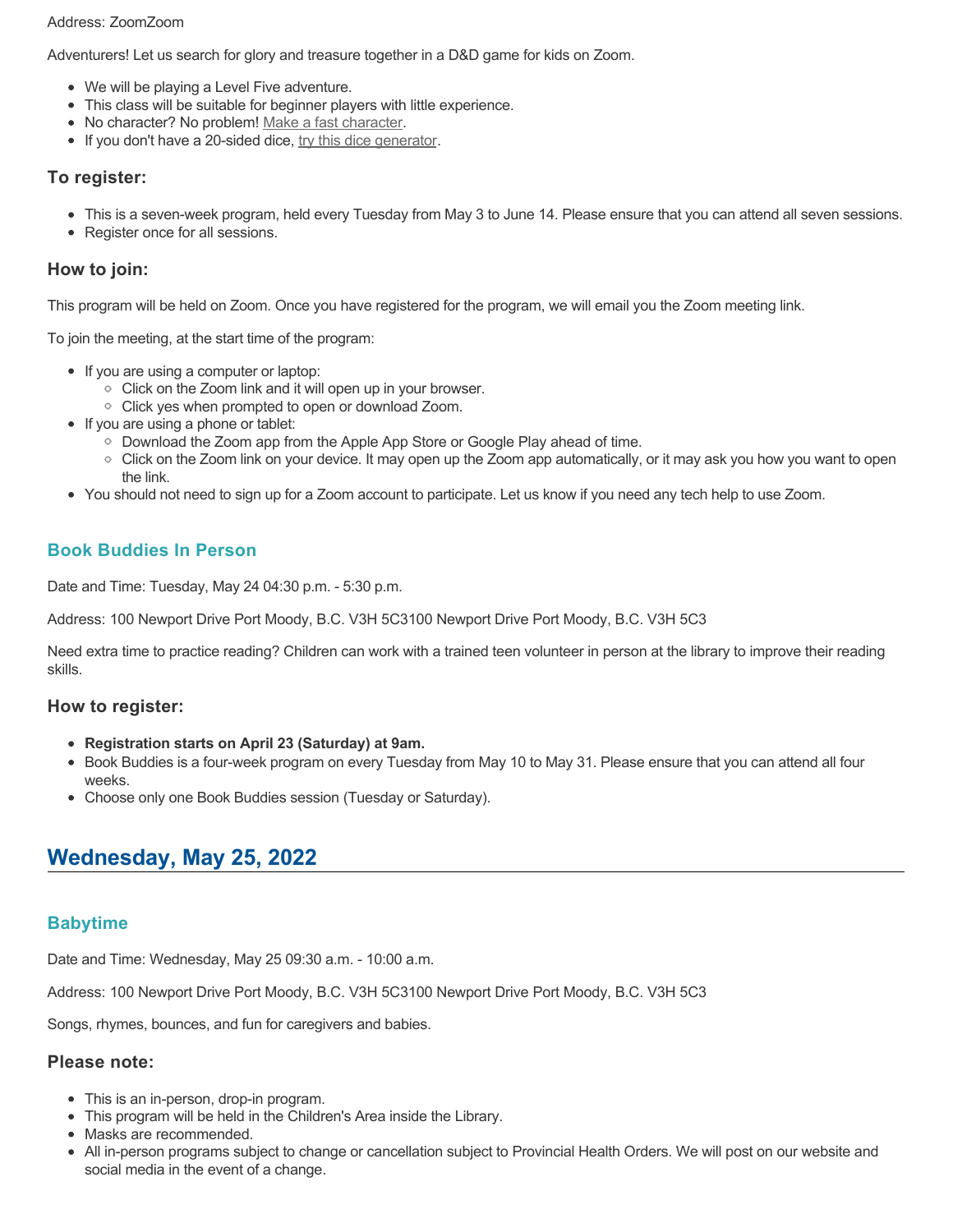#### Address: ZoomZoom

Adventurers! Let us search for glory and treasure together in a D&D game for kids on Zoom.

- We will be playing a Level Five adventure.
- This class will be suitable for beginner players with little experience.
- No character? No problem! [Make a fast character.](https://fastcharacter.com/)
- If you don't have a 20-sided dice, [try this dice generator.](https://www.wizards.com/dnd/dice/dice.htm)

## **To register:**

- This is a seven-week program, held every Tuesday from May 3 to June 14. Please ensure that you can attend all seven sessions.
- Register once for all sessions.

## **How to join:**

This program will be held on Zoom. Once you have registered for the program, we will email you the Zoom meeting link.

To join the meeting, at the start time of the program:

- If you are using a computer or laptop:
	- Click on the Zoom link and it will open up in your browser.
	- Click yes when prompted to open or download Zoom.
- If you are using a phone or tablet:
	- Download the Zoom app from the Apple App Store or Google Play ahead of time.
	- Click on the Zoom link on your device. It may open up the Zoom app automatically, or it may ask you how you want to open the link.
- You should not need to sign up for a Zoom account to participate. Let us know if you need any tech help to use Zoom.

# **Book Buddies In Person**

Date and Time: Tuesday, May 24 04:30 p.m. - 5:30 p.m.

Address: 100 Newport Drive Port Moody, B.C. V3H 5C3100 Newport Drive Port Moody, B.C. V3H 5C3

Need extra time to practice reading? Children can work with a trained teen volunteer in person at the library to improve their reading skills.

### **How to register:**

- **Registration starts on April 23 (Saturday) at 9am.**
- Book Buddies is a four-week program on every Tuesday from May 10 to May 31. Please ensure that you can attend all four weeks.
- Choose only one Book Buddies session (Tuesday or Saturday).

# **Wednesday, May 25, 2022**

# **Babytime**

Date and Time: Wednesday, May 25 09:30 a.m. - 10:00 a.m.

Address: 100 Newport Drive Port Moody, B.C. V3H 5C3100 Newport Drive Port Moody, B.C. V3H 5C3

Songs, rhymes, bounces, and fun for caregivers and babies.

# **Please note:**

- This is an in-person, drop-in program.
- This program will be held in the Children's Area inside the Library.
- Masks are recommended.
- All in-person programs subject to change or cancellation subject to Provincial Health Orders. We will post on our website and social media in the event of a change.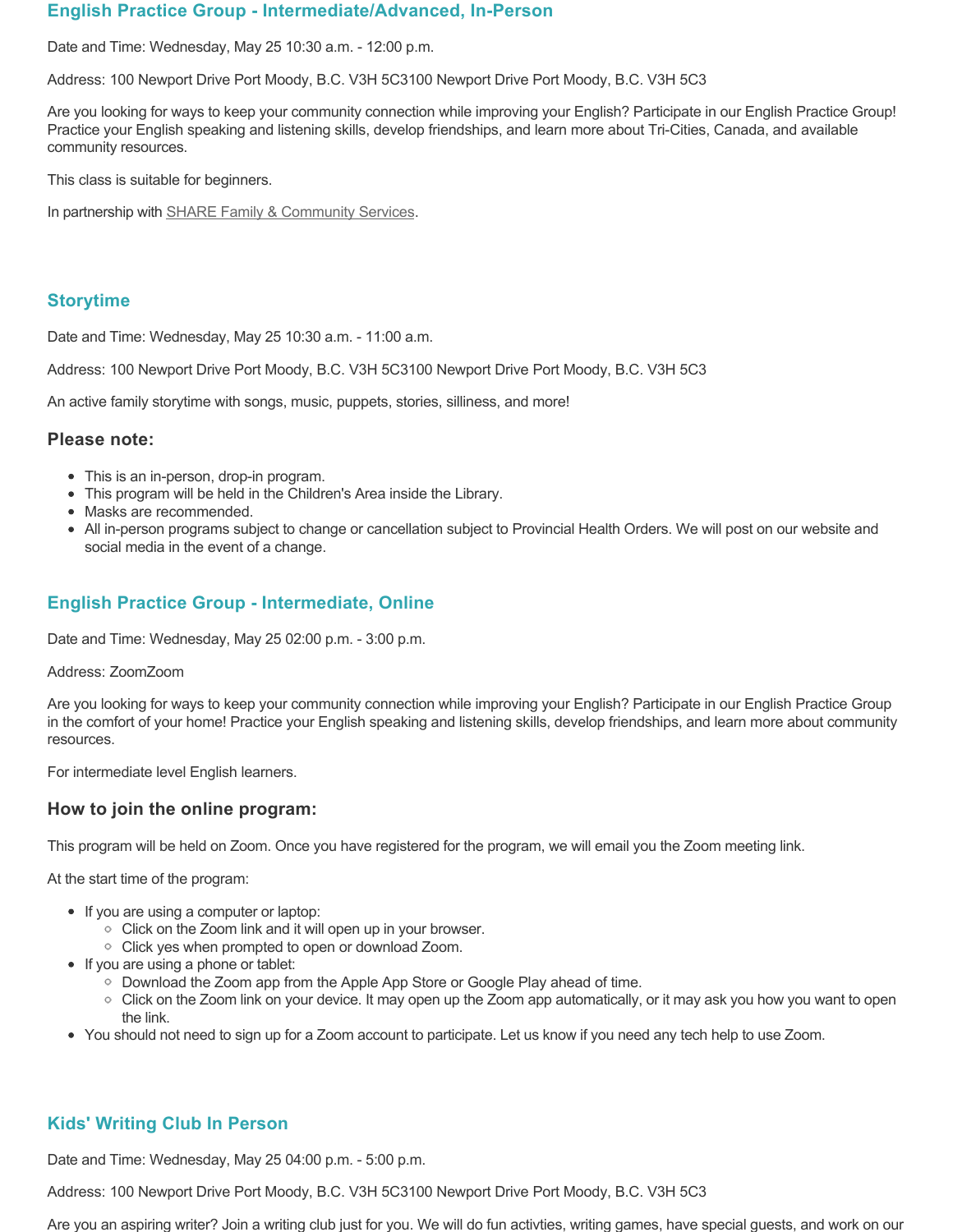### **English Practice Group - Intermediate/Advanced, In-Person**

Date and Time: Wednesday, May 25 10:30 a.m. - 12:00 p.m.

Address: 100 Newport Drive Port Moody, B.C. V3H 5C3100 Newport Drive Port Moody, B.C. V3H 5C3

Are you looking for ways to keep your community connection while improving your English? Participate in our English Practice Group! Practice your English speaking and listening skills, develop friendships, and learn more about Tri-Cities, Canada, and available community resources.

This class is suitable for beginners.

In partnership with **SHARE Family & Community Services**.

# **Storytime**

Date and Time: Wednesday, May 25 10:30 a.m. - 11:00 a.m.

Address: 100 Newport Drive Port Moody, B.C. V3H 5C3100 Newport Drive Port Moody, B.C. V3H 5C3

An active family storytime with songs, music, puppets, stories, silliness, and more!

### **Please note:**

- This is an in-person, drop-in program.
- This program will be held in the Children's Area inside the Library.
- Masks are recommended.
- All in-person programs subject to change or cancellation subject to Provincial Health Orders. We will post on our website and social media in the event of a change.

# **English Practice Group - Intermediate, Online**

Date and Time: Wednesday, May 25 02:00 p.m. - 3:00 p.m.

#### Address: ZoomZoom

Are you looking for ways to keep your community connection while improving your English? Participate in our English Practice Group in the comfort of your home! Practice your English speaking and listening skills, develop friendships, and learn more about community resources.

For intermediate level English learners.

### **How to join the online program:**

This program will be held on Zoom. Once you have registered for the program, we will email you the Zoom meeting link.

At the start time of the program:

- If you are using a computer or laptop:
	- Click on the Zoom link and it will open up in your browser.
	- Click yes when prompted to open or download Zoom.
- If you are using a phone or tablet:
	- Download the Zoom app from the Apple App Store or Google Play ahead of time.
	- Click on the Zoom link on your device. It may open up the Zoom app automatically, or it may ask you how you want to open the link.
- You should not need to sign up for a Zoom account to participate. Let us know if you need any tech help to use Zoom.

# **Kids' Writing Club In Person**

Date and Time: Wednesday, May 25 04:00 p.m. - 5:00 p.m.

Address: 100 Newport Drive Port Moody, B.C. V3H 5C3100 Newport Drive Port Moody, B.C. V3H 5C3

Are you an aspiring writer? Join a writing club just for you. We will do fun activties, writing games, have special guests, and work on our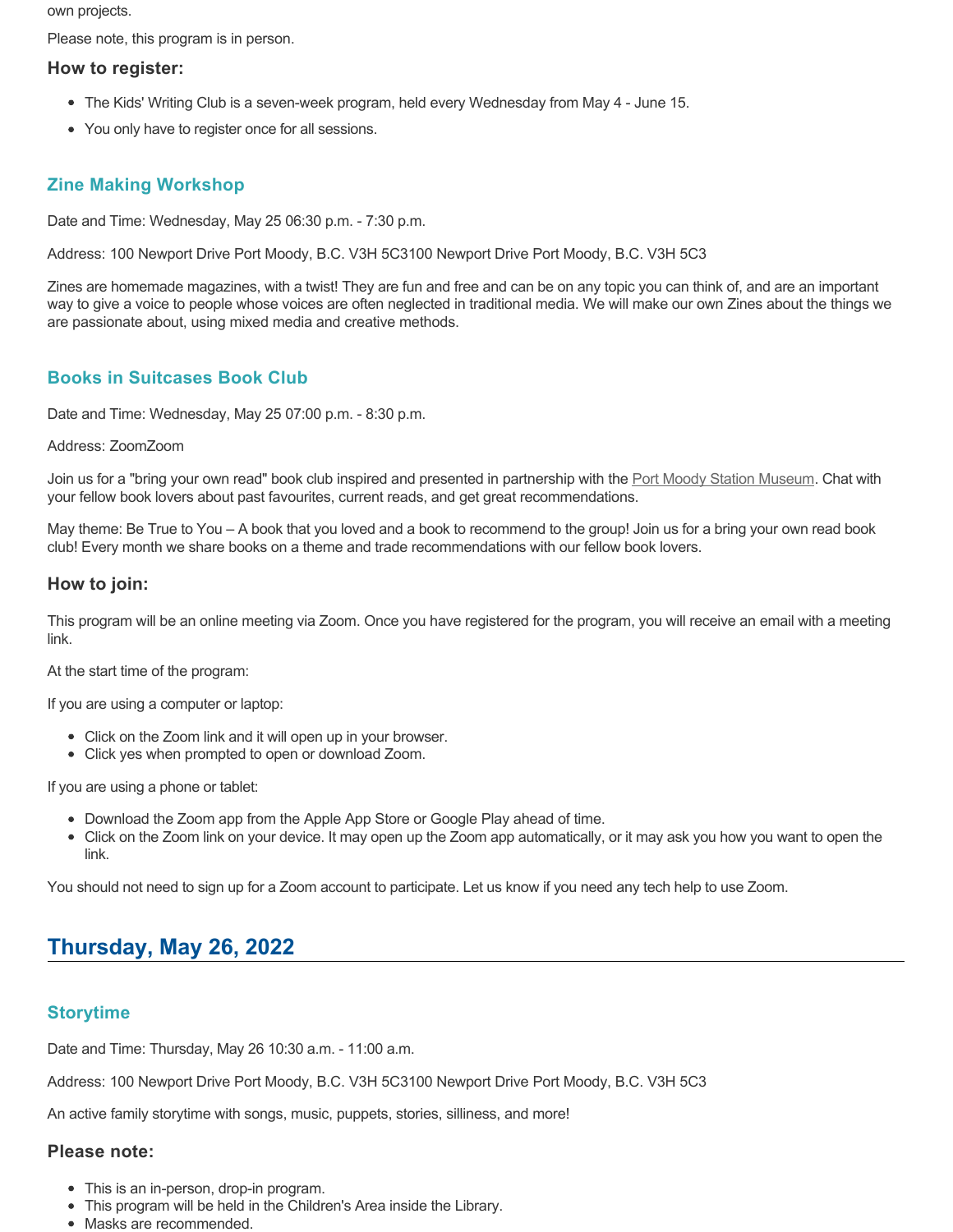own projects.

Please note, this program is in person.

## **How to register:**

- The Kids' Writing Club is a seven-week program, held every Wednesday from May 4 June 15.
- You only have to register once for all sessions.

# **Zine Making Workshop**

Date and Time: Wednesday, May 25 06:30 p.m. - 7:30 p.m.

Address: 100 Newport Drive Port Moody, B.C. V3H 5C3100 Newport Drive Port Moody, B.C. V3H 5C3

Zines are homemade magazines, with a twist! They are fun and free and can be on any topic you can think of, and are an important way to give a voice to people whose voices are often neglected in traditional media. We will make our own Zines about the things we are passionate about, using mixed media and creative methods.

# **Books in Suitcases Book Club**

Date and Time: Wednesday, May 25 07:00 p.m. - 8:30 p.m.

#### Address: ZoomZoom

Join us for a "bring your own read" book club inspired and presented in partnership with the [Port Moody Station Museum.](http://portmoodymuseum.org/) Chat with your fellow book lovers about past favourites, current reads, and get great recommendations.

May theme: Be True to You – A book that you loved and a book to recommend to the group! Join us for a bring your own read book club! Every month we share books on a theme and trade recommendations with our fellow book lovers.

### **How to join:**

This program will be an online meeting via Zoom. Once you have registered for the program, you will receive an email with a meeting link.

At the start time of the program:

If you are using a computer or laptop:

- Click on the Zoom link and it will open up in your browser.
- Click yes when prompted to open or download Zoom.

If you are using a phone or tablet:

- Download the Zoom app from the Apple App Store or Google Play ahead of time.
- Click on the Zoom link on your device. It may open up the Zoom app automatically, or it may ask you how you want to open the link.

You should not need to sign up for a Zoom account to participate. Let us know if you need any tech help to use Zoom.

# **Thursday, May 26, 2022**

# **Storytime**

Date and Time: Thursday, May 26 10:30 a.m. - 11:00 a.m.

Address: 100 Newport Drive Port Moody, B.C. V3H 5C3100 Newport Drive Port Moody, B.C. V3H 5C3

An active family storytime with songs, music, puppets, stories, silliness, and more!

#### **Please note:**

- This is an in-person, drop-in program.
- This program will be held in the Children's Area inside the Library.
- Masks are recommended.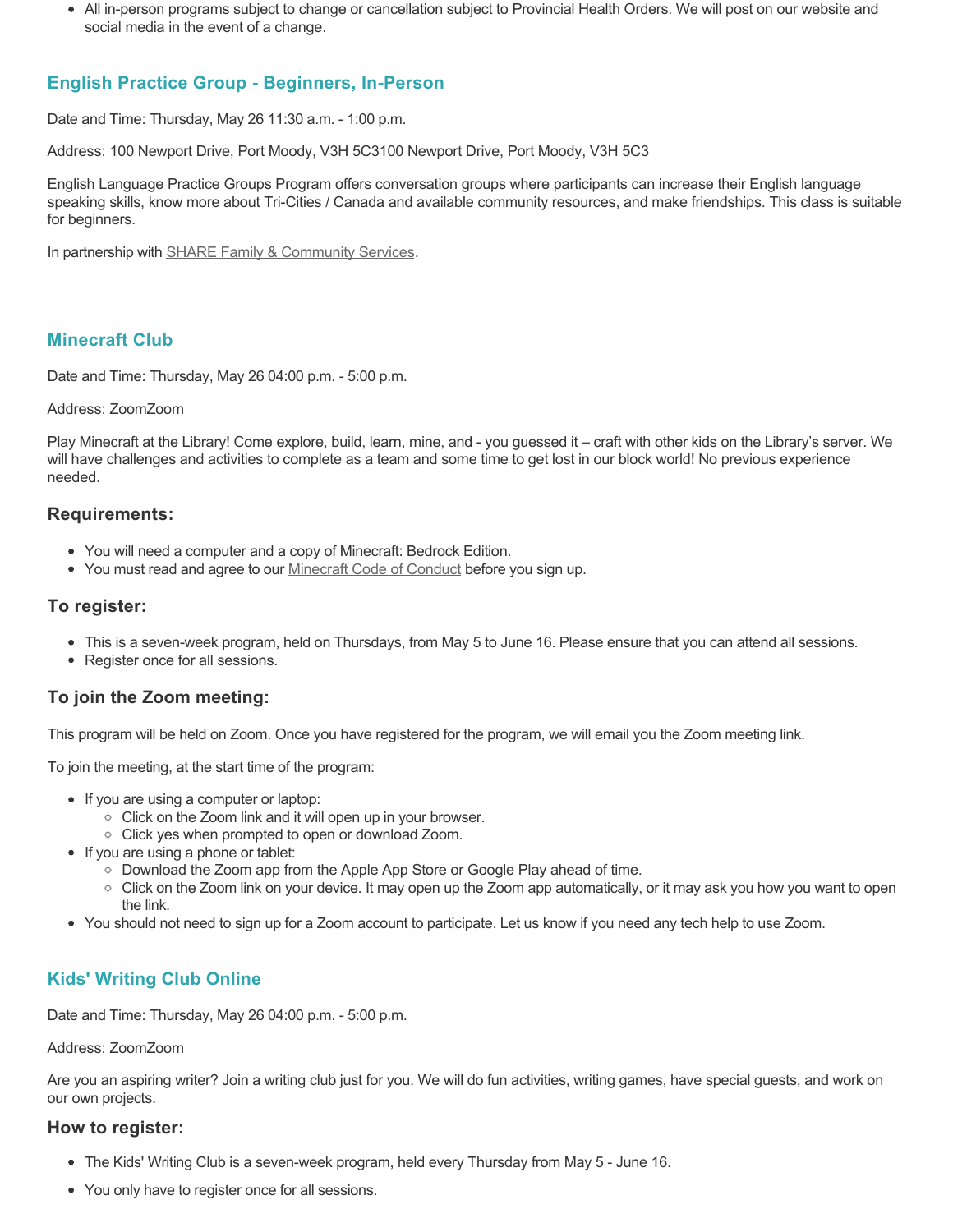All in-person programs subject to change or cancellation subject to Provincial Health Orders. We will post on our website and social media in the event of a change.

# **English Practice Group - Beginners, In-Person**

Date and Time: Thursday, May 26 11:30 a.m. - 1:00 p.m.

Address: 100 Newport Drive, Port Moody, V3H 5C3100 Newport Drive, Port Moody, V3H 5C3

English Language Practice Groups Program offers conversation groups where participants can increase their English language speaking skills, know more about Tri-Cities / Canada and available community resources, and make friendships. This class is suitable for beginners.

In partnership with **SHARE Family & Community Services**.

# **Minecraft Club**

Date and Time: Thursday, May 26 04:00 p.m. - 5:00 p.m.

# Address: ZoomZoom

Play Minecraft at the Library! Come explore, build, learn, mine, and - you guessed it – craft with other kids on the Library's server. We will have challenges and activities to complete as a team and some time to get lost in our block world! No previous experience needed.

# **Requirements:**

- You will need a computer and a copy of Minecraft: Bedrock Edition.
- You must read and agree to our [Minecraft Code of Conduct](https://www.portmoodylibrary.ca/en/services/edocs.ashx?docnumber=577372) before you sign up.

# **To register:**

- This is a seven-week program, held on Thursdays, from May 5 to June 16. Please ensure that you can attend all sessions.
- Register once for all sessions.

# **To join the Zoom meeting:**

This program will be held on Zoom. Once you have registered for the program, we will email you the Zoom meeting link.

To join the meeting, at the start time of the program:

- If you are using a computer or laptop:
	- Click on the Zoom link and it will open up in your browser.
	- Click yes when prompted to open or download Zoom.
- If you are using a phone or tablet:
	- Download the Zoom app from the Apple App Store or Google Play ahead of time.
	- Click on the Zoom link on your device. It may open up the Zoom app automatically, or it may ask you how you want to open the link.
- You should not need to sign up for a Zoom account to participate. Let us know if you need any tech help to use Zoom.

# **Kids' Writing Club Online**

Date and Time: Thursday, May 26 04:00 p.m. - 5:00 p.m.

#### Address: ZoomZoom

Are you an aspiring writer? Join a writing club just for you. We will do fun activities, writing games, have special guests, and work on our own projects.

# **How to register:**

- The Kids' Writing Club is a seven-week program, held every Thursday from May 5 June 16.
- You only have to register once for all sessions.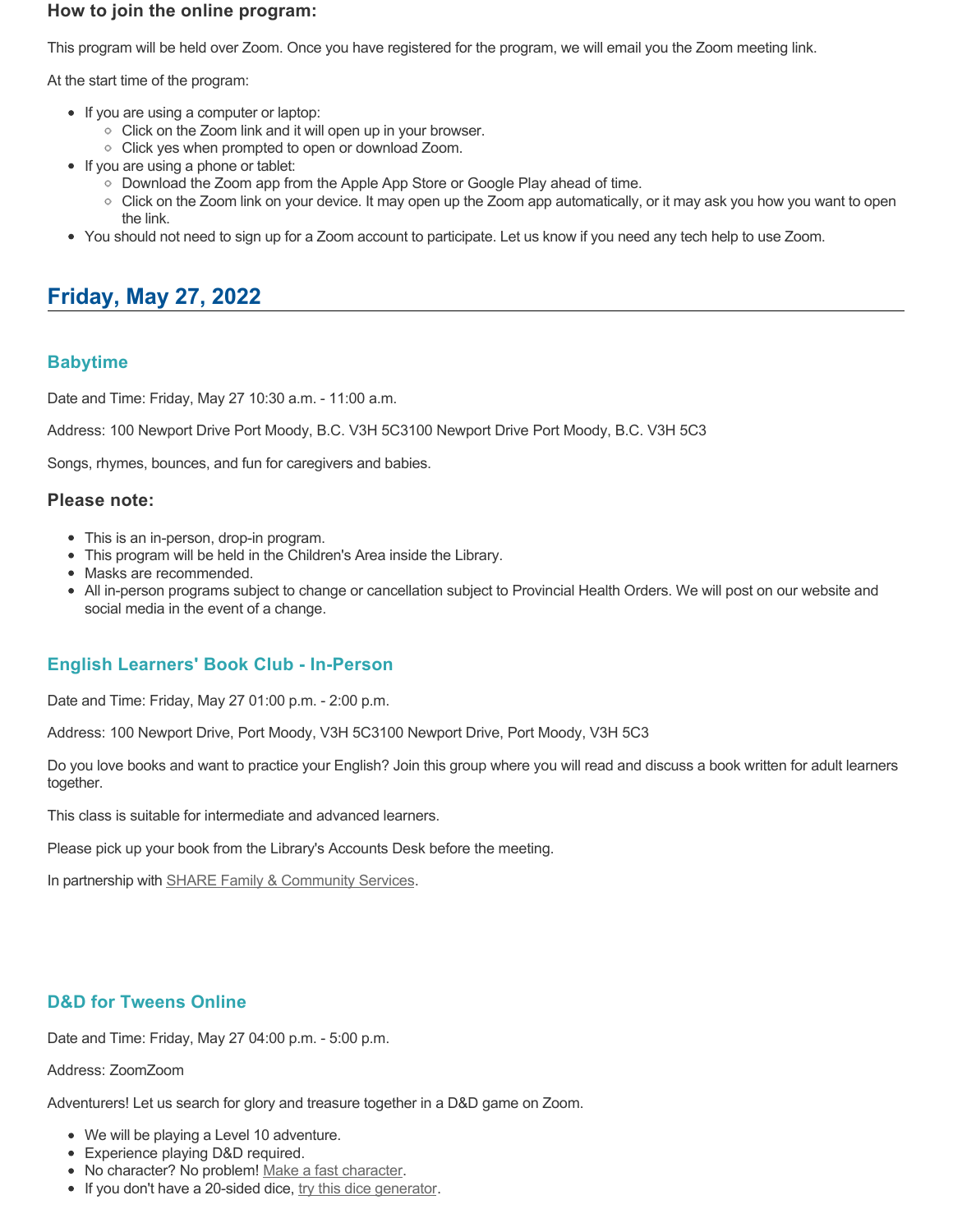## **How to join the online program:**

This program will be held over Zoom. Once you have registered for the program, we will email you the Zoom meeting link.

At the start time of the program:

- If you are using a computer or laptop:
	- Click on the Zoom link and it will open up in your browser.
	- Click yes when prompted to open or download Zoom.
- If you are using a phone or tablet:
	- Download the Zoom app from the Apple App Store or Google Play ahead of time.
	- Click on the Zoom link on your device. It may open up the Zoom app automatically, or it may ask you how you want to open the link.
- You should not need to sign up for a Zoom account to participate. Let us know if you need any tech help to use Zoom.

# **Friday, May 27, 2022**

# **Babytime**

Date and Time: Friday, May 27 10:30 a.m. - 11:00 a.m.

Address: 100 Newport Drive Port Moody, B.C. V3H 5C3100 Newport Drive Port Moody, B.C. V3H 5C3

Songs, rhymes, bounces, and fun for caregivers and babies.

### **Please note:**

- This is an in-person, drop-in program.
- This program will be held in the Children's Area inside the Library.
- Masks are recommended.
- All in-person programs subject to change or cancellation subject to Provincial Health Orders. We will post on our website and social media in the event of a change.

# **English Learners' Book Club - In-Person**

Date and Time: Friday, May 27 01:00 p.m. - 2:00 p.m.

Address: 100 Newport Drive, Port Moody, V3H 5C3100 Newport Drive, Port Moody, V3H 5C3

Do you love books and want to practice your English? Join this group where you will read and discuss a book written for adult learners together.

This class is suitable for intermediate and advanced learners.

Please pick up your book from the Library's Accounts Desk before the meeting.

In partnership with **SHARE Family & Community Services**.

# **D&D for Tweens Online**

Date and Time: Friday, May 27 04:00 p.m. - 5:00 p.m.

#### Address: ZoomZoom

Adventurers! Let us search for glory and treasure together in a D&D game on Zoom.

- We will be playing a Level 10 adventure.
- Experience playing D&D required.
- No character? No problem! [Make a fast character.](https://fastcharacter.com/)
- If you don't have a 20-sided dice, [try this dice generator.](https://www.wizards.com/dnd/dice/dice.htm)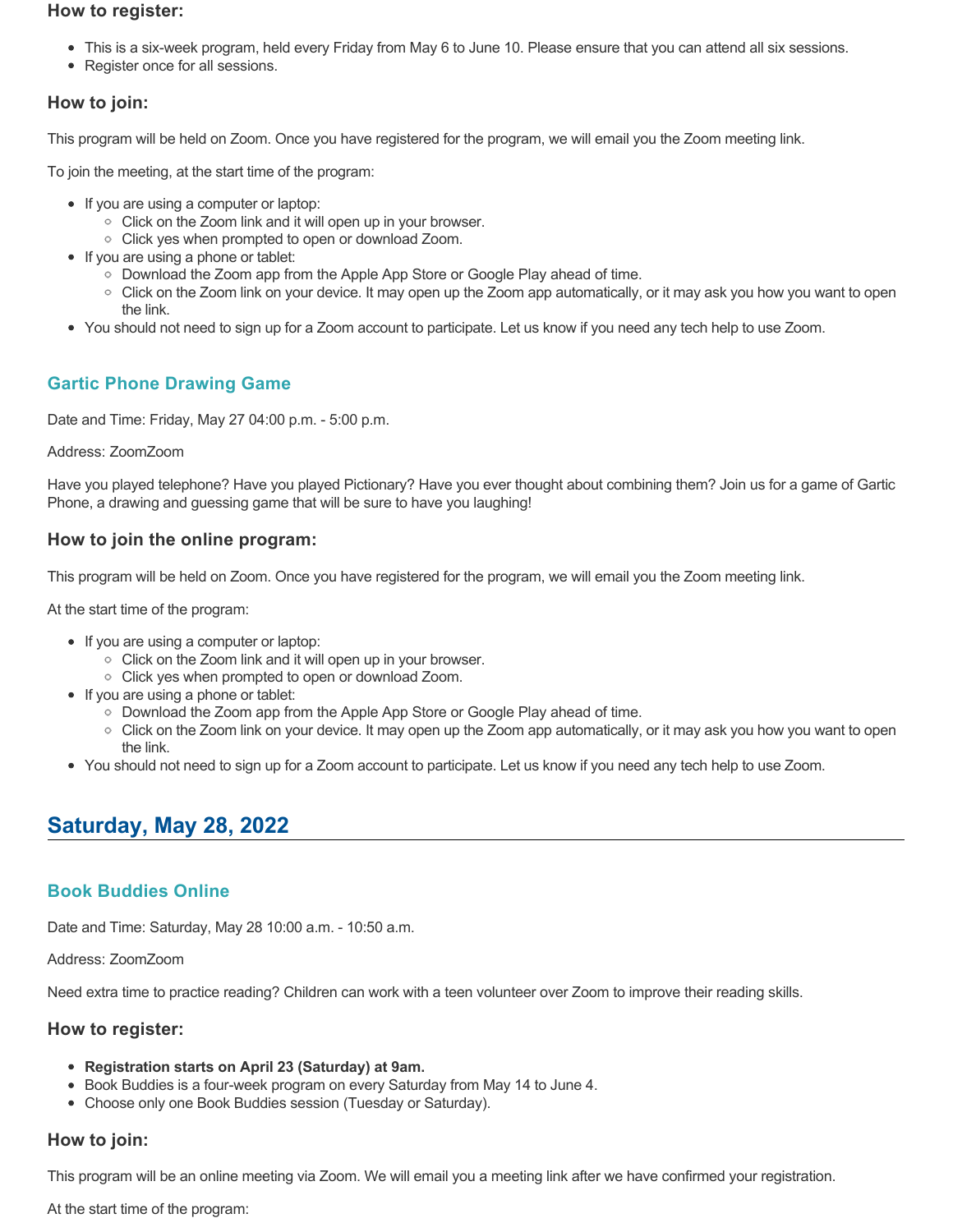#### **How to register:**

- This is a six-week program, held every Friday from May 6 to June 10. Please ensure that you can attend all six sessions.
- Register once for all sessions.

## **How to join:**

This program will be held on Zoom. Once you have registered for the program, we will email you the Zoom meeting link.

To join the meeting, at the start time of the program:

- If you are using a computer or laptop:
	- Click on the Zoom link and it will open up in your browser.
	- Click yes when prompted to open or download Zoom.
- If you are using a phone or tablet:
	- Download the Zoom app from the Apple App Store or Google Play ahead of time.
	- Click on the Zoom link on your device. It may open up the Zoom app automatically, or it may ask you how you want to open the link.
- You should not need to sign up for a Zoom account to participate. Let us know if you need any tech help to use Zoom.

# **Gartic Phone Drawing Game**

Date and Time: Friday, May 27 04:00 p.m. - 5:00 p.m.

#### Address: ZoomZoom

Have you played telephone? Have you played Pictionary? Have you ever thought about combining them? Join us for a game of Gartic Phone, a drawing and guessing game that will be sure to have you laughing!

# **How to join the online program:**

This program will be held on Zoom. Once you have registered for the program, we will email you the Zoom meeting link.

At the start time of the program:

- If you are using a computer or laptop:
	- Click on the Zoom link and it will open up in your browser.
	- Click yes when prompted to open or download Zoom.
- If you are using a phone or tablet:
	- Download the Zoom app from the Apple App Store or Google Play ahead of time.
	- Click on the Zoom link on your device. It may open up the Zoom app automatically, or it may ask you how you want to open the link.
- You should not need to sign up for a Zoom account to participate. Let us know if you need any tech help to use Zoom.

# **Saturday, May 28, 2022**

### **Book Buddies Online**

Date and Time: Saturday, May 28 10:00 a.m. - 10:50 a.m.

Address: ZoomZoom

Need extra time to practice reading? Children can work with a teen volunteer over Zoom to improve their reading skills.

### **How to register:**

- **Registration starts on April 23 (Saturday) at 9am.**
- Book Buddies is a four-week program on every Saturday from May 14 to June 4.
- Choose only one Book Buddies session (Tuesday or Saturday).

### **How to join:**

This program will be an online meeting via Zoom. We will email you a meeting link after we have confirmed your registration.

At the start time of the program: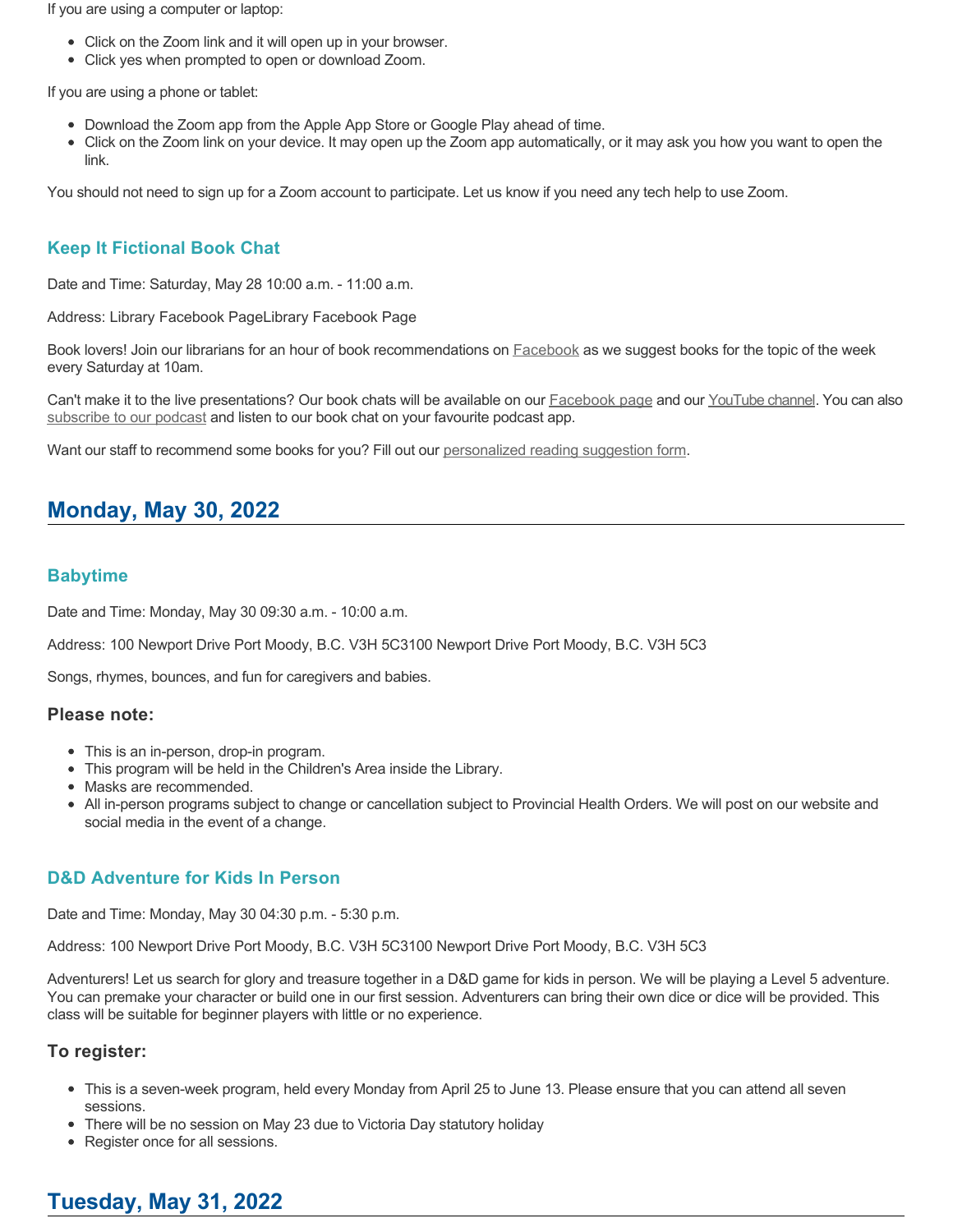If you are using a computer or laptop:

- Click on the Zoom link and it will open up in your browser.
- Click yes when prompted to open or download Zoom.

If you are using a phone or tablet:

- Download the Zoom app from the Apple App Store or Google Play ahead of time.
- Click on the Zoom link on your device. It may open up the Zoom app automatically, or it may ask you how you want to open the link.

You should not need to sign up for a Zoom account to participate. Let us know if you need any tech help to use Zoom.

# **Keep It Fictional Book Chat**

Date and Time: Saturday, May 28 10:00 a.m. - 11:00 a.m.

Address: Library Facebook PageLibrary Facebook Page

Book lovers! Join our librarians for an hour of book recommendations on **[Facebook](https://www.facebook.com/pomolibrary)** as we suggest books for the topic of the week every Saturday at 10am.

Can't make it to the live presentations? Our book chats will be available on our **Facebook page and our [YouTube channel](https://www.youtube.com/channel/UC2I_AE1E_BpN8xBXwyzhiYg?view_as=subscriber)**. You can also [subscribe to our podcast](https://anchor.fm/keepitfictional) and listen to our book chat on your favourite podcast app.

Want our staff to recommend some books for you? Fill out our [personalized reading suggestion form](https://www.portmoodylibrary.ca/en/borrow/reading-suggestions.aspx).

# **Monday, May 30, 2022**

# **Babytime**

Date and Time: Monday, May 30 09:30 a.m. - 10:00 a.m.

Address: 100 Newport Drive Port Moody, B.C. V3H 5C3100 Newport Drive Port Moody, B.C. V3H 5C3

Songs, rhymes, bounces, and fun for caregivers and babies.

#### **Please note:**

- This is an in-person, drop-in program.
- This program will be held in the Children's Area inside the Library.
- Masks are recommended.
- All in-person programs subject to change or cancellation subject to Provincial Health Orders. We will post on our website and social media in the event of a change.

# **D&D Adventure for Kids In Person**

Date and Time: Monday, May 30 04:30 p.m. - 5:30 p.m.

Address: 100 Newport Drive Port Moody, B.C. V3H 5C3100 Newport Drive Port Moody, B.C. V3H 5C3

Adventurers! Let us search for glory and treasure together in a D&D game for kids in person. We will be playing a Level 5 adventure. You can premake your character or build one in our first session. Adventurers can bring their own dice or dice will be provided. This class will be suitable for beginner players with little or no experience.

### **To register:**

- This is a seven-week program, held every Monday from April 25 to June 13. Please ensure that you can attend all seven sessions.
- There will be no session on May 23 due to Victoria Day statutory holiday
- Register once for all sessions.

# **Tuesday, May 31, 2022**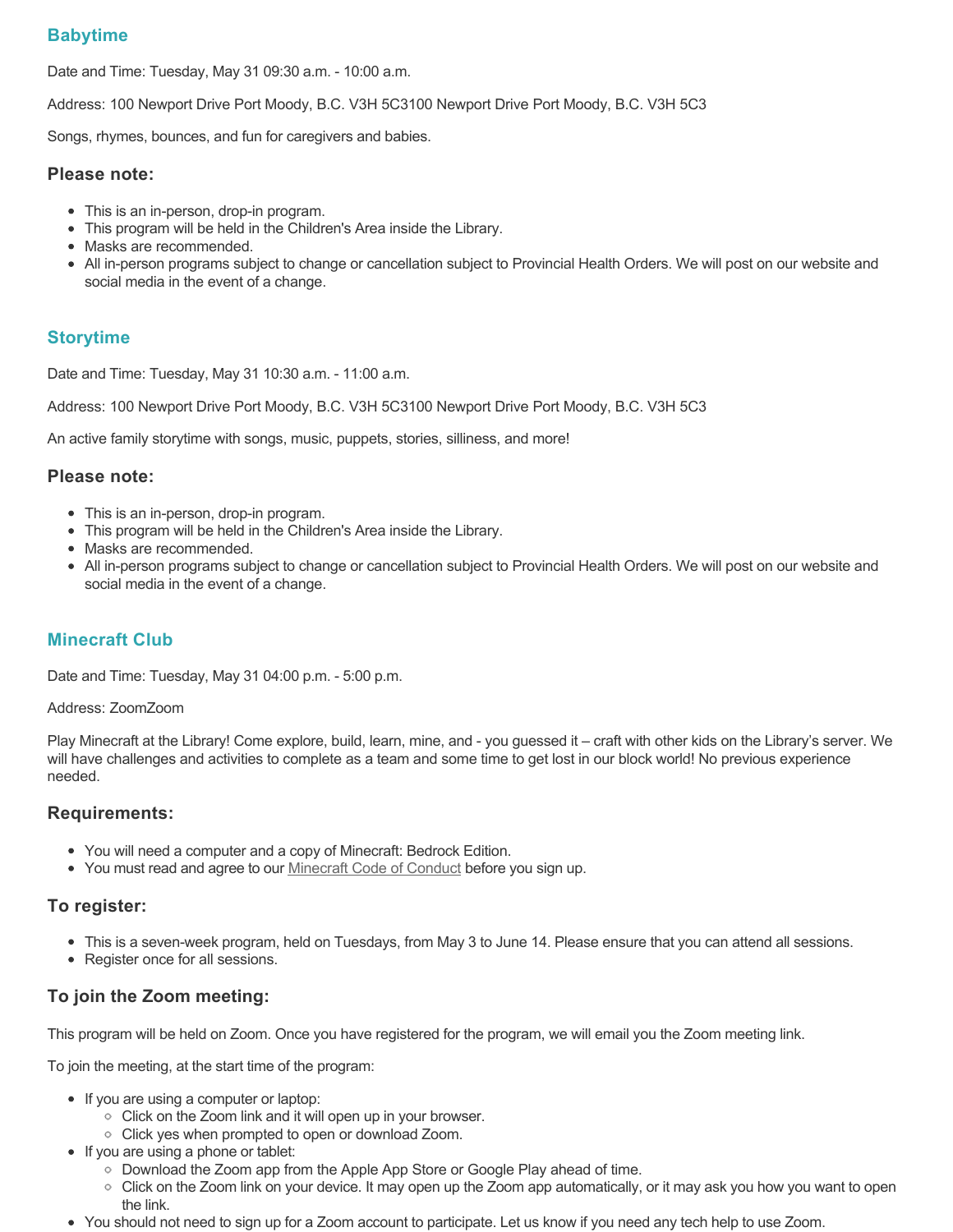# **Babytime**

Date and Time: Tuesday, May 31 09:30 a.m. - 10:00 a.m.

Address: 100 Newport Drive Port Moody, B.C. V3H 5C3100 Newport Drive Port Moody, B.C. V3H 5C3

Songs, rhymes, bounces, and fun for caregivers and babies.

#### **Please note:**

- This is an in-person, drop-in program.
- This program will be held in the Children's Area inside the Library.
- Masks are recommended.
- All in-person programs subject to change or cancellation subject to Provincial Health Orders. We will post on our website and social media in the event of a change.

## **Storytime**

Date and Time: Tuesday, May 31 10:30 a.m. - 11:00 a.m.

Address: 100 Newport Drive Port Moody, B.C. V3H 5C3100 Newport Drive Port Moody, B.C. V3H 5C3

An active family storytime with songs, music, puppets, stories, silliness, and more!

#### **Please note:**

- This is an in-person, drop-in program.
- This program will be held in the Children's Area inside the Library.
- Masks are recommended.
- All in-person programs subject to change or cancellation subject to Provincial Health Orders. We will post on our website and social media in the event of a change.

# **Minecraft Club**

Date and Time: Tuesday, May 31 04:00 p.m. - 5:00 p.m.

#### Address: ZoomZoom

Play Minecraft at the Library! Come explore, build, learn, mine, and - you guessed it – craft with other kids on the Library's server. We will have challenges and activities to complete as a team and some time to get lost in our block world! No previous experience needed.

### **Requirements:**

- You will need a computer and a copy of Minecraft: Bedrock Edition.
- You must read and agree to our [Minecraft Code of Conduct](https://www.portmoodylibrary.ca/en/services/edocs.ashx?docnumber=577372) before you sign up.

### **To register:**

- This is a seven-week program, held on Tuesdays, from May 3 to June 14. Please ensure that you can attend all sessions.
- Register once for all sessions.

# **To join the Zoom meeting:**

This program will be held on Zoom. Once you have registered for the program, we will email you the Zoom meeting link.

To join the meeting, at the start time of the program:

- If you are using a computer or laptop:
	- Click on the Zoom link and it will open up in your browser.
	- Click yes when prompted to open or download Zoom.
- If you are using a phone or tablet:
	- Download the Zoom app from the Apple App Store or Google Play ahead of time.
	- Click on the Zoom link on your device. It may open up the Zoom app automatically, or it may ask you how you want to open the link.
- You should not need to sign up for a Zoom account to participate. Let us know if you need any tech help to use Zoom.